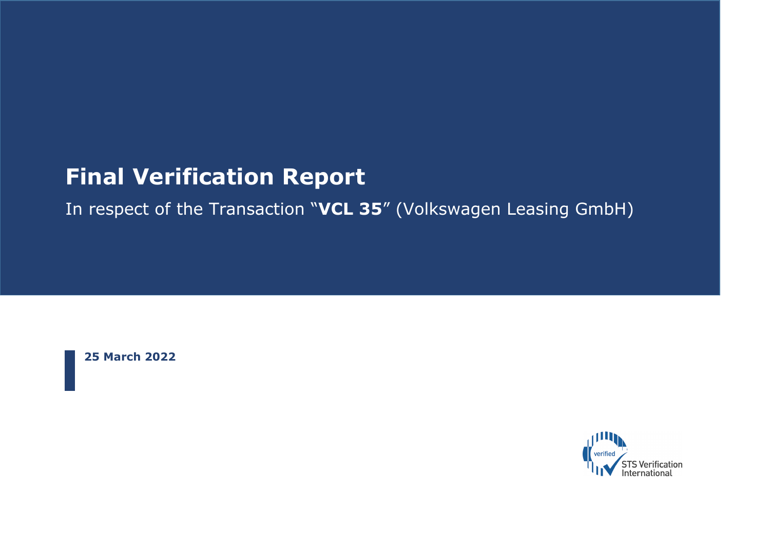# **Final Verification Report**

In respect of the Transaction "**VCL 35**" (Volkswagen Leasing GmbH)

**25 March 2022**

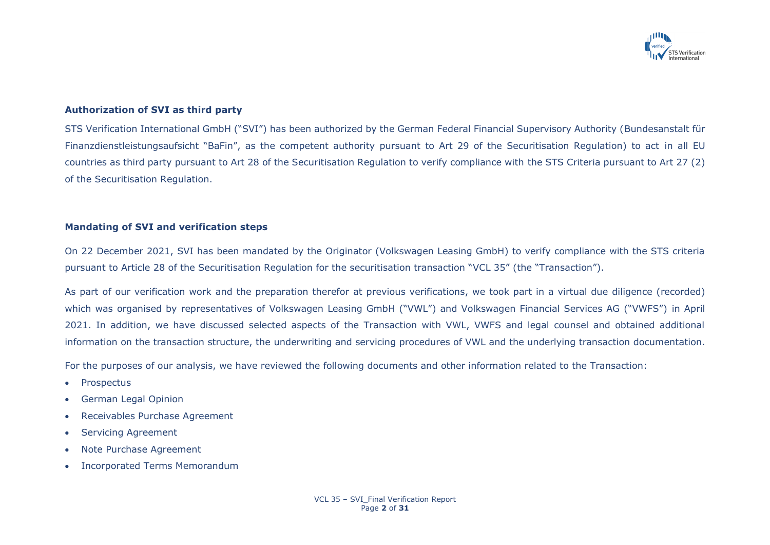

# **Authorization of SVI as third party**

STS Verification International GmbH ("SVI") has been authorized by the German Federal Financial Supervisory Authority (Bundesanstalt für Finanzdienstleistungsaufsicht "BaFin", as the competent authority pursuant to Art 29 of the Securitisation Regulation) to act in all EU countries as third party pursuant to Art 28 of the Securitisation Regulation to verify compliance with the STS Criteria pursuant to Art 27 (2) of the Securitisation Regulation.

### **Mandating of SVI and verification steps**

On 22 December 2021, SVI has been mandated by the Originator (Volkswagen Leasing GmbH) to verify compliance with the STS criteria pursuant to Article 28 of the Securitisation Regulation for the securitisation transaction "VCL 35" (the "Transaction").

As part of our verification work and the preparation therefor at previous verifications, we took part in a virtual due diligence (recorded) which was organised by representatives of Volkswagen Leasing GmbH ("VWL") and Volkswagen Financial Services AG ("VWFS") in April 2021. In addition, we have discussed selected aspects of the Transaction with VWL, VWFS and legal counsel and obtained additional information on the transaction structure, the underwriting and servicing procedures of VWL and the underlying transaction documentation.

For the purposes of our analysis, we have reviewed the following documents and other information related to the Transaction:

- Prospectus
- German Legal Opinion
- Receivables Purchase Agreement
- Servicing Agreement
- Note Purchase Agreement
- Incorporated Terms Memorandum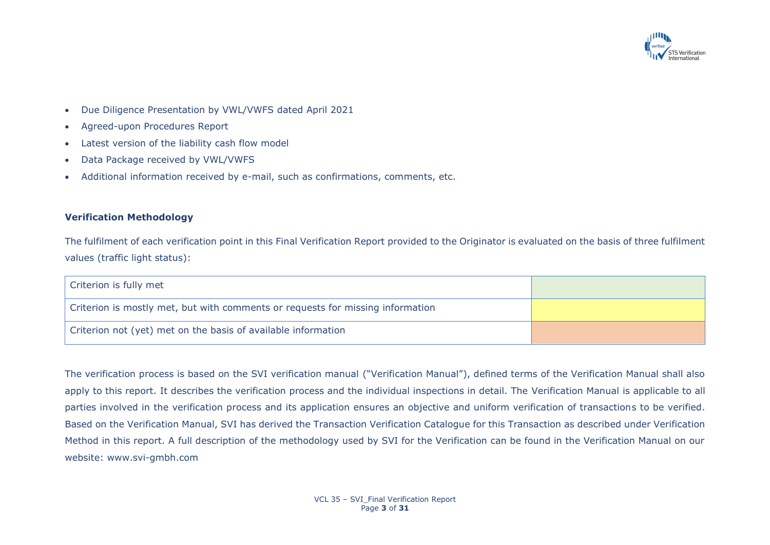

- Due Diligence Presentation by VWL/VWFS dated April 2021
- Agreed-upon Procedures Report
- Latest version of the liability cash flow model
- Data Package received by VWL/VWFS
- Additional information received by e-mail, such as confirmations, comments, etc.

# **Verification Methodology**

The fulfilment of each verification point in this Final Verification Report provided to the Originator is evaluated on the basis of three fulfilment values (traffic light status):

| Criterion is fully met                                                         |  |
|--------------------------------------------------------------------------------|--|
| Criterion is mostly met, but with comments or requests for missing information |  |
| Criterion not (yet) met on the basis of available information                  |  |

The verification process is based on the SVI verification manual ("Verification Manual"), defined terms of the Verification Manual shall also apply to this report. It describes the verification process and the individual inspections in detail. The Verification Manual is applicable to all parties involved in the verification process and its application ensures an objective and uniform verification of transactions to be verified. Based on the Verification Manual, SVI has derived the Transaction Verification Catalogue for this Transaction as described under Verification Method in this report. A full description of the methodology used by SVI for the Verification can be found in the Verification Manual on our website: www.svi-gmbh.com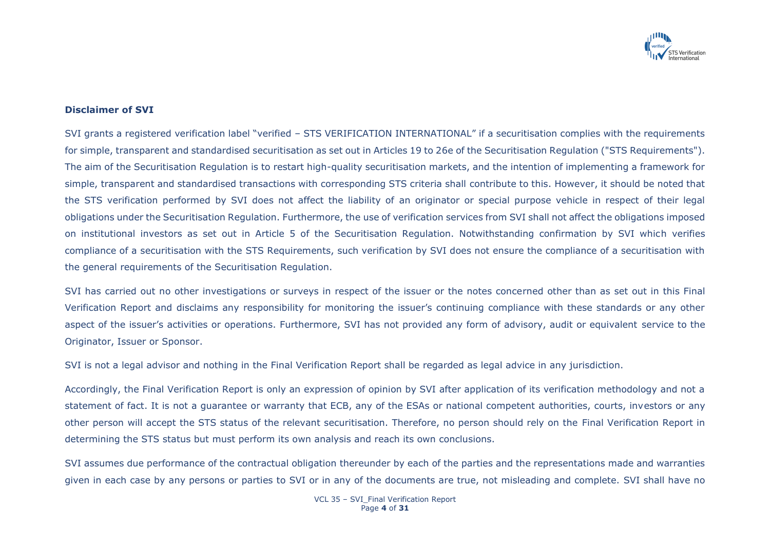

### **Disclaimer of SVI**

SVI grants a registered verification label "verified – STS VERIFICATION INTERNATIONAL" if a securitisation complies with the requirements for simple, transparent and standardised securitisation as set out in Articles 19 to 26e of the Securitisation Regulation ("STS Requirements"). The aim of the Securitisation Regulation is to restart high-quality securitisation markets, and the intention of implementing a framework for simple, transparent and standardised transactions with corresponding STS criteria shall contribute to this. However, it should be noted that the STS verification performed by SVI does not affect the liability of an originator or special purpose vehicle in respect of their legal obligations under the Securitisation Regulation. Furthermore, the use of verification services from SVI shall not affect the obligations imposed on institutional investors as set out in Article 5 of the Securitisation Regulation. Notwithstanding confirmation by SVI which verifies compliance of a securitisation with the STS Requirements, such verification by SVI does not ensure the compliance of a securitisation with the general requirements of the Securitisation Regulation.

SVI has carried out no other investigations or surveys in respect of the issuer or the notes concerned other than as set out in this Final Verification Report and disclaims any responsibility for monitoring the issuer's continuing compliance with these standards or any other aspect of the issuer's activities or operations. Furthermore, SVI has not provided any form of advisory, audit or equivalent service to the Originator, Issuer or Sponsor.

SVI is not a legal advisor and nothing in the Final Verification Report shall be regarded as legal advice in any jurisdiction.

Accordingly, the Final Verification Report is only an expression of opinion by SVI after application of its verification methodology and not a statement of fact. It is not a guarantee or warranty that ECB, any of the ESAs or national competent authorities, courts, investors or any other person will accept the STS status of the relevant securitisation. Therefore, no person should rely on the Final Verification Report in determining the STS status but must perform its own analysis and reach its own conclusions.

SVI assumes due performance of the contractual obligation thereunder by each of the parties and the representations made and warranties given in each case by any persons or parties to SVI or in any of the documents are true, not misleading and complete. SVI shall have no

> VCL 35 – SVI\_Final Verification Report Page **4** of **31**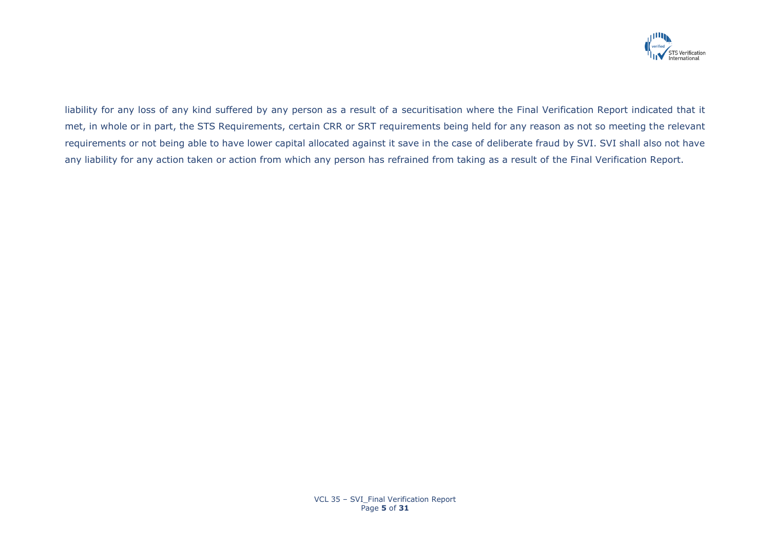

liability for any loss of any kind suffered by any person as a result of a securitisation where the Final Verification Report indicated that it met, in whole or in part, the STS Requirements, certain CRR or SRT requirements being held for any reason as not so meeting the relevant requirements or not being able to have lower capital allocated against it save in the case of deliberate fraud by SVI. SVI shall also not have any liability for any action taken or action from which any person has refrained from taking as a result of the Final Verification Report.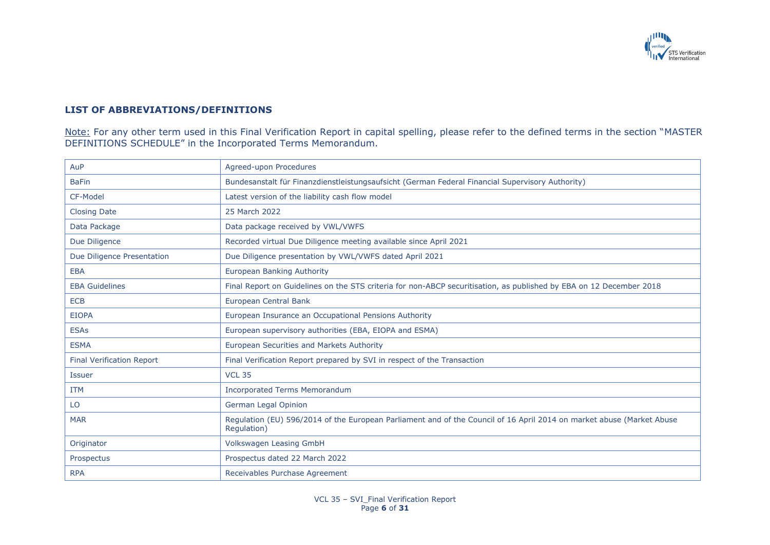

# **LIST OF ABBREVIATIONS/DEFINITIONS**

<u>Note:</u> For any other term used in this Final Verification Report in capital spelling, please refer to the defined terms in the section "MASTER DEFINITIONS SCHEDULE" in the Incorporated Terms Memorandum.

| AuP                              | Agreed-upon Procedures                                                                                                               |
|----------------------------------|--------------------------------------------------------------------------------------------------------------------------------------|
| <b>BaFin</b>                     | Bundesanstalt für Finanzdienstleistungsaufsicht (German Federal Financial Supervisory Authority)                                     |
| CF-Model                         | Latest version of the liability cash flow model                                                                                      |
| <b>Closing Date</b>              | 25 March 2022                                                                                                                        |
| Data Package                     | Data package received by VWL/VWFS                                                                                                    |
| Due Diligence                    | Recorded virtual Due Diligence meeting available since April 2021                                                                    |
| Due Diligence Presentation       | Due Diligence presentation by VWL/VWFS dated April 2021                                                                              |
| <b>EBA</b>                       | <b>European Banking Authority</b>                                                                                                    |
| <b>EBA Guidelines</b>            | Final Report on Guidelines on the STS criteria for non-ABCP securitisation, as published by EBA on 12 December 2018                  |
| <b>ECB</b>                       | European Central Bank                                                                                                                |
| <b>EIOPA</b>                     | European Insurance an Occupational Pensions Authority                                                                                |
| <b>ESAs</b>                      | European supervisory authorities (EBA, EIOPA and ESMA)                                                                               |
| <b>ESMA</b>                      | European Securities and Markets Authority                                                                                            |
| <b>Final Verification Report</b> | Final Verification Report prepared by SVI in respect of the Transaction                                                              |
| <b>Issuer</b>                    | <b>VCL 35</b>                                                                                                                        |
| <b>ITM</b>                       | <b>Incorporated Terms Memorandum</b>                                                                                                 |
| LO                               | German Legal Opinion                                                                                                                 |
| <b>MAR</b>                       | Regulation (EU) 596/2014 of the European Parliament and of the Council of 16 April 2014 on market abuse (Market Abuse<br>Regulation) |
| Originator                       | Volkswagen Leasing GmbH                                                                                                              |
| Prospectus                       | Prospectus dated 22 March 2022                                                                                                       |
| <b>RPA</b>                       | Receivables Purchase Agreement                                                                                                       |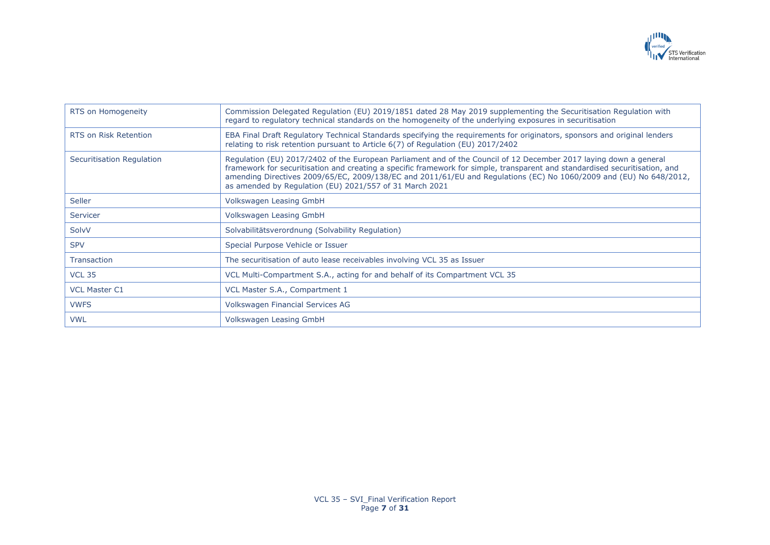

| RTS on Homogeneity           | Commission Delegated Regulation (EU) 2019/1851 dated 28 May 2019 supplementing the Securitisation Regulation with<br>regard to regulatory technical standards on the homogeneity of the underlying exposures in securitisation                                                                                                                                                                                                    |
|------------------------------|-----------------------------------------------------------------------------------------------------------------------------------------------------------------------------------------------------------------------------------------------------------------------------------------------------------------------------------------------------------------------------------------------------------------------------------|
| <b>RTS on Risk Retention</b> | EBA Final Draft Regulatory Technical Standards specifying the requirements for originators, sponsors and original lenders<br>relating to risk retention pursuant to Article 6(7) of Regulation (EU) 2017/2402                                                                                                                                                                                                                     |
| Securitisation Regulation    | Regulation (EU) 2017/2402 of the European Parliament and of the Council of 12 December 2017 laying down a general<br>framework for securitisation and creating a specific framework for simple, transparent and standardised securitisation, and<br>amending Directives 2009/65/EC, 2009/138/EC and 2011/61/EU and Regulations (EC) No 1060/2009 and (EU) No 648/2012,<br>as amended by Regulation (EU) 2021/557 of 31 March 2021 |
| <b>Seller</b>                | Volkswagen Leasing GmbH                                                                                                                                                                                                                                                                                                                                                                                                           |
| Servicer                     | Volkswagen Leasing GmbH                                                                                                                                                                                                                                                                                                                                                                                                           |
| SolvV                        | Solvabilitätsverordnung (Solvability Regulation)                                                                                                                                                                                                                                                                                                                                                                                  |
| <b>SPV</b>                   | Special Purpose Vehicle or Issuer                                                                                                                                                                                                                                                                                                                                                                                                 |
| <b>Transaction</b>           | The securitisation of auto lease receivables involving VCL 35 as Issuer                                                                                                                                                                                                                                                                                                                                                           |
| <b>VCL 35</b>                | VCL Multi-Compartment S.A., acting for and behalf of its Compartment VCL 35                                                                                                                                                                                                                                                                                                                                                       |
| <b>VCL Master C1</b>         | VCL Master S.A., Compartment 1                                                                                                                                                                                                                                                                                                                                                                                                    |
| <b>VWFS</b>                  | Volkswagen Financial Services AG                                                                                                                                                                                                                                                                                                                                                                                                  |
| <b>VWL</b>                   | Volkswagen Leasing GmbH                                                                                                                                                                                                                                                                                                                                                                                                           |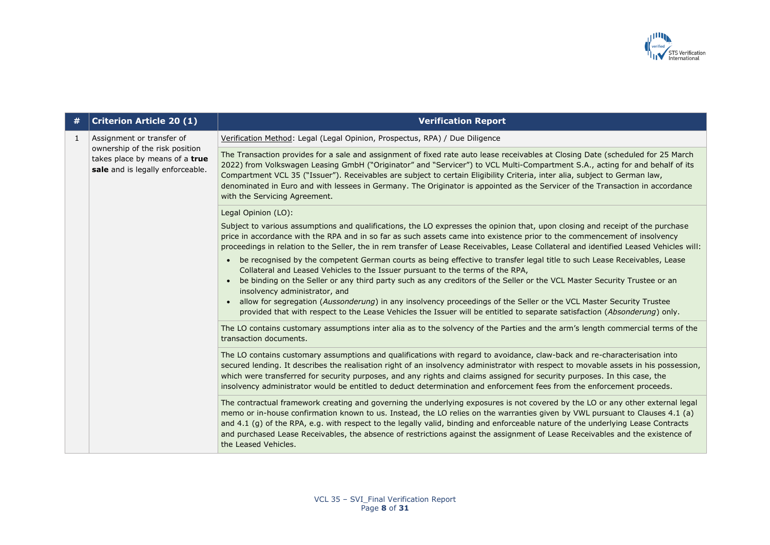

| # | <b>Criterion Article 20 (1)</b>                                                                                                   | <b>Verification Report</b>                                                                                                                                                                                                                                                                                                                                                                                                                                                                                                                                      |
|---|-----------------------------------------------------------------------------------------------------------------------------------|-----------------------------------------------------------------------------------------------------------------------------------------------------------------------------------------------------------------------------------------------------------------------------------------------------------------------------------------------------------------------------------------------------------------------------------------------------------------------------------------------------------------------------------------------------------------|
| 1 | Assignment or transfer of<br>ownership of the risk position<br>takes place by means of a true<br>sale and is legally enforceable. | Verification Method: Legal (Legal Opinion, Prospectus, RPA) / Due Diligence                                                                                                                                                                                                                                                                                                                                                                                                                                                                                     |
|   |                                                                                                                                   | The Transaction provides for a sale and assignment of fixed rate auto lease receivables at Closing Date (scheduled for 25 March<br>2022) from Volkswagen Leasing GmbH ("Originator" and "Servicer") to VCL Multi-Compartment S.A., acting for and behalf of its<br>Compartment VCL 35 ("Issuer"). Receivables are subject to certain Eligibility Criteria, inter alia, subject to German law,<br>denominated in Euro and with lessees in Germany. The Originator is appointed as the Servicer of the Transaction in accordance<br>with the Servicing Agreement. |
|   |                                                                                                                                   | Legal Opinion (LO):                                                                                                                                                                                                                                                                                                                                                                                                                                                                                                                                             |
|   |                                                                                                                                   | Subject to various assumptions and qualifications, the LO expresses the opinion that, upon closing and receipt of the purchase<br>price in accordance with the RPA and in so far as such assets came into existence prior to the commencement of insolvency<br>proceedings in relation to the Seller, the in rem transfer of Lease Receivables, Lease Collateral and identified Leased Vehicles will:                                                                                                                                                           |
|   |                                                                                                                                   | be recognised by the competent German courts as being effective to transfer legal title to such Lease Receivables, Lease<br>Collateral and Leased Vehicles to the Issuer pursuant to the terms of the RPA,<br>be binding on the Seller or any third party such as any creditors of the Seller or the VCL Master Security Trustee or an                                                                                                                                                                                                                          |
|   |                                                                                                                                   | insolvency administrator, and<br>allow for segregation (Aussonderung) in any insolvency proceedings of the Seller or the VCL Master Security Trustee<br>provided that with respect to the Lease Vehicles the Issuer will be entitled to separate satisfaction (Absonderung) only.                                                                                                                                                                                                                                                                               |
|   |                                                                                                                                   | The LO contains customary assumptions inter alia as to the solvency of the Parties and the arm's length commercial terms of the<br>transaction documents.                                                                                                                                                                                                                                                                                                                                                                                                       |
|   |                                                                                                                                   | The LO contains customary assumptions and qualifications with regard to avoidance, claw-back and re-characterisation into<br>secured lending. It describes the realisation right of an insolvency administrator with respect to movable assets in his possession,<br>which were transferred for security purposes, and any rights and claims assigned for security purposes. In this case, the<br>insolvency administrator would be entitled to deduct determination and enforcement fees from the enforcement proceeds.                                        |
|   |                                                                                                                                   | The contractual framework creating and governing the underlying exposures is not covered by the LO or any other external legal<br>memo or in-house confirmation known to us. Instead, the LO relies on the warranties given by VWL pursuant to Clauses 4.1 (a)<br>and 4.1 (g) of the RPA, e.g. with respect to the legally valid, binding and enforceable nature of the underlying Lease Contracts<br>and purchased Lease Receivables, the absence of restrictions against the assignment of Lease Receivables and the existence of<br>the Leased Vehicles.     |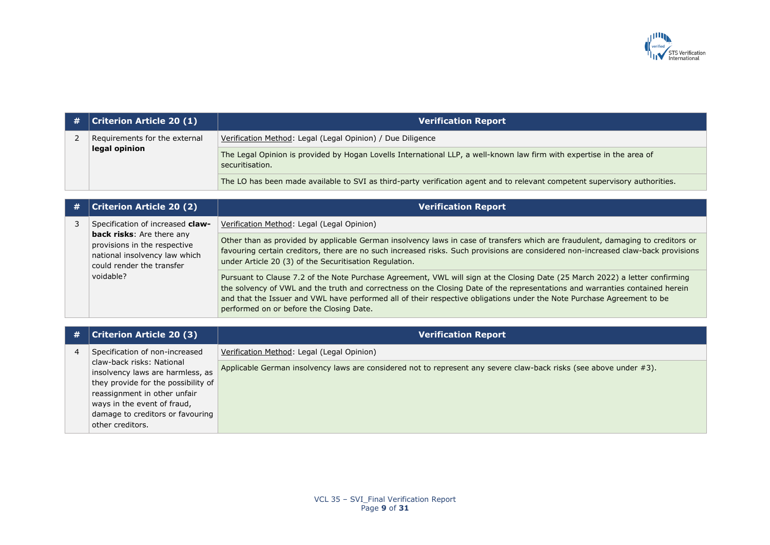

| # | <b>Criterion Article 20 (1)</b> | <b>Verification Report</b>                                                                                                               |
|---|---------------------------------|------------------------------------------------------------------------------------------------------------------------------------------|
|   | Requirements for the external   | Verification Method: Legal (Legal Opinion) / Due Diligence                                                                               |
|   | legal opinion                   | The Legal Opinion is provided by Hogan Lovells International LLP, a well-known law firm with expertise in the area of<br>securitisation. |
|   |                                 | The LO has been made available to SVI as third-party verification agent and to relevant competent supervisory authorities.               |

|  | <b>Criterion Article 20 (2)</b>                                                                                                             | <b>Verification Report</b>                                                                                                                                                                                                                                                                                                                                                                                                         |
|--|---------------------------------------------------------------------------------------------------------------------------------------------|------------------------------------------------------------------------------------------------------------------------------------------------------------------------------------------------------------------------------------------------------------------------------------------------------------------------------------------------------------------------------------------------------------------------------------|
|  | Specification of increased claw-                                                                                                            | Verification Method: Legal (Legal Opinion)                                                                                                                                                                                                                                                                                                                                                                                         |
|  | <b>back risks:</b> Are there any<br>provisions in the respective<br>national insolvency law which<br>could render the transfer<br>voidable? | Other than as provided by applicable German insolvency laws in case of transfers which are fraudulent, damaging to creditors or<br>favouring certain creditors, there are no such increased risks. Such provisions are considered non-increased claw-back provisions<br>under Article 20 (3) of the Securitisation Regulation.                                                                                                     |
|  |                                                                                                                                             | Pursuant to Clause 7.2 of the Note Purchase Agreement, VWL will sign at the Closing Date (25 March 2022) a letter confirming<br>the solvency of VWL and the truth and correctness on the Closing Date of the representations and warranties contained herein<br>and that the Issuer and VWL have performed all of their respective obligations under the Note Purchase Agreement to be<br>performed on or before the Closing Date. |
|  |                                                                                                                                             |                                                                                                                                                                                                                                                                                                                                                                                                                                    |

| # | Criterion Article 20 (3)                                      | <b>Verification Report</b>                                                                                         |
|---|---------------------------------------------------------------|--------------------------------------------------------------------------------------------------------------------|
|   | Specification of non-increased                                | Verification Method: Legal (Legal Opinion)                                                                         |
|   | claw-back risks: National<br>insolvency laws are harmless, as | Applicable German insolvency laws are considered not to represent any severe claw-back risks (see above under #3). |
|   | they provide for the possibility of                           |                                                                                                                    |
|   | reassignment in other unfair                                  |                                                                                                                    |
|   | ways in the event of fraud,                                   |                                                                                                                    |
|   | damage to creditors or favouring                              |                                                                                                                    |
|   | other creditors.                                              |                                                                                                                    |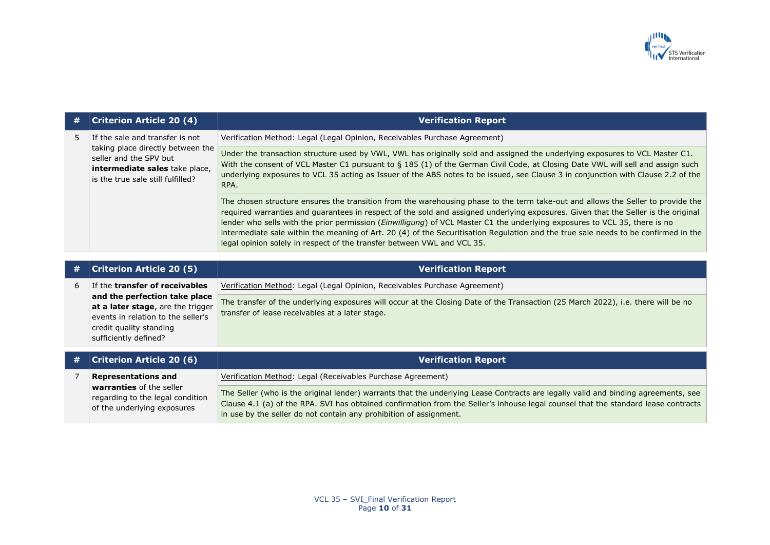

| # | <b>Criterion Article 20 (4)</b>                                                                                                                                       | <b>Verification Report</b>                                                                                                                                                                                                                                                                                                                                                                                                                                                                                                                                                                                             |
|---|-----------------------------------------------------------------------------------------------------------------------------------------------------------------------|------------------------------------------------------------------------------------------------------------------------------------------------------------------------------------------------------------------------------------------------------------------------------------------------------------------------------------------------------------------------------------------------------------------------------------------------------------------------------------------------------------------------------------------------------------------------------------------------------------------------|
|   | If the sale and transfer is not<br>taking place directly between the<br>seller and the SPV but<br>intermediate sales take place,<br>is the true sale still fulfilled? | Verification Method: Legal (Legal Opinion, Receivables Purchase Agreement)                                                                                                                                                                                                                                                                                                                                                                                                                                                                                                                                             |
|   |                                                                                                                                                                       | Under the transaction structure used by VWL, VWL has originally sold and assigned the underlying exposures to VCL Master C1.<br>With the consent of VCL Master C1 pursuant to § 185 (1) of the German Civil Code, at Closing Date VWL will sell and assign such<br>underlying exposures to VCL 35 acting as Issuer of the ABS notes to be issued, see Clause 3 in conjunction with Clause 2.2 of the<br>RPA.                                                                                                                                                                                                           |
|   |                                                                                                                                                                       | The chosen structure ensures the transition from the warehousing phase to the term take-out and allows the Seller to provide the<br>required warranties and guarantees in respect of the sold and assigned underlying exposures. Given that the Seller is the original<br>lender who sells with the prior permission (Einwilligung) of VCL Master C1 the underlying exposures to VCL 35, there is no<br>intermediate sale within the meaning of Art. 20 (4) of the Securitisation Regulation and the true sale needs to be confirmed in the<br>legal opinion solely in respect of the transfer between VWL and VCL 35. |

| # | <b>Criterion Article 20 (5)</b>                                                                                                                              | <b>Verification Report</b>                                                                                                                                                           |
|---|--------------------------------------------------------------------------------------------------------------------------------------------------------------|--------------------------------------------------------------------------------------------------------------------------------------------------------------------------------------|
| 6 | If the <b>transfer of receivables</b>                                                                                                                        | Verification Method: Legal (Legal Opinion, Receivables Purchase Agreement)                                                                                                           |
|   | and the perfection take place<br>at a later stage, are the trigger<br>events in relation to the seller's<br>credit quality standing<br>sufficiently defined? | The transfer of the underlying exposures will occur at the Closing Date of the Transaction (25 March 2022), i.e. there will be no<br>transfer of lease receivables at a later stage. |
| # | <b>Criterion Article 20 (6)</b>                                                                                                                              | <b>Verification Report</b>                                                                                                                                                           |
|   | <b>Representations and</b>                                                                                                                                   | Verification Method: Legal (Receivables Purchase Agreement)                                                                                                                          |
|   | warranties of the seller                                                                                                                                     | The Seller (who is the original lender) warrants that the underlying Lease Contracts are legally valid and binding agreements, see                                                   |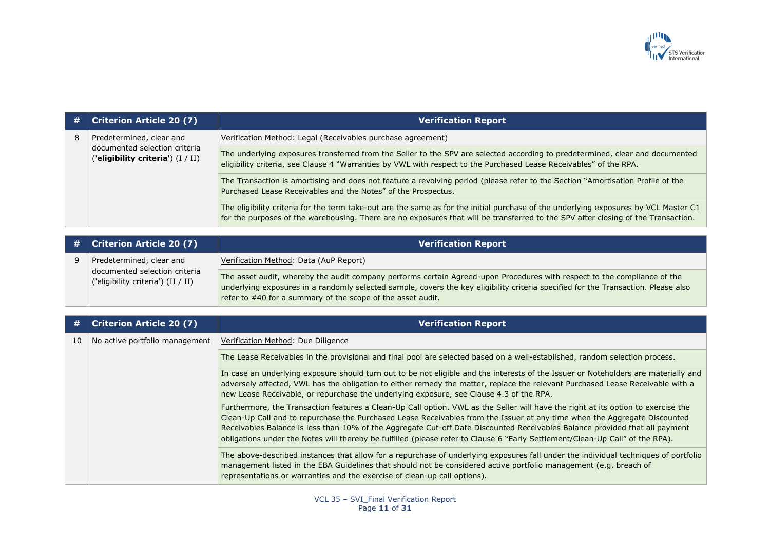

|   | <b>Criterion Article 20 (7)</b>                                                                | <b>Verification Report</b>                                                                                                                                                                                                                                                |
|---|------------------------------------------------------------------------------------------------|---------------------------------------------------------------------------------------------------------------------------------------------------------------------------------------------------------------------------------------------------------------------------|
| 8 | Predetermined, clear and<br>documented selection criteria<br>('eligibility criteria') (I / II) | Verification Method: Legal (Receivables purchase agreement)                                                                                                                                                                                                               |
|   |                                                                                                | The underlying exposures transferred from the Seller to the SPV are selected according to predetermined, clear and documented<br>eligibility criteria, see Clause 4 "Warranties by VWL with respect to the Purchased Lease Receivables" of the RPA.                       |
|   |                                                                                                | The Transaction is amortising and does not feature a revolving period (please refer to the Section "Amortisation Profile of the<br>Purchased Lease Receivables and the Notes" of the Prospectus.                                                                          |
|   |                                                                                                | The eligibility criteria for the term take-out are the same as for the initial purchase of the underlying exposures by VCL Master C1<br>for the purposes of the warehousing. There are no exposures that will be transferred to the SPV after closing of the Transaction. |

| $\#$   Criterion Article 20 (7)                                     | <b>Verification Report</b>                                                                                                                                                                                                                                                                                                    |
|---------------------------------------------------------------------|-------------------------------------------------------------------------------------------------------------------------------------------------------------------------------------------------------------------------------------------------------------------------------------------------------------------------------|
| Predetermined, clear and                                            | Verification Method: Data (AuP Report)                                                                                                                                                                                                                                                                                        |
| documented selection criteria<br>('eligibility criteria') (II / II) | The asset audit, whereby the audit company performs certain Agreed-upon Procedures with respect to the compliance of the<br>underlying exposures in a randomly selected sample, covers the key eligibility criteria specified for the Transaction. Please also<br>refer to #40 for a summary of the scope of the asset audit. |

| #  | <b>Criterion Article 20 (7)</b> | <b>Verification Report</b>                                                                                                                                                                                                                                                                                                                                                                                                                                                                                                     |
|----|---------------------------------|--------------------------------------------------------------------------------------------------------------------------------------------------------------------------------------------------------------------------------------------------------------------------------------------------------------------------------------------------------------------------------------------------------------------------------------------------------------------------------------------------------------------------------|
| 10 | No active portfolio management  | Verification Method: Due Diligence                                                                                                                                                                                                                                                                                                                                                                                                                                                                                             |
|    |                                 | The Lease Receivables in the provisional and final pool are selected based on a well-established, random selection process.                                                                                                                                                                                                                                                                                                                                                                                                    |
|    |                                 | In case an underlying exposure should turn out to be not eligible and the interests of the Issuer or Noteholders are materially and<br>adversely affected, VWL has the obligation to either remedy the matter, replace the relevant Purchased Lease Receivable with a<br>new Lease Receivable, or repurchase the underlying exposure, see Clause 4.3 of the RPA.                                                                                                                                                               |
|    |                                 | Furthermore, the Transaction features a Clean-Up Call option. VWL as the Seller will have the right at its option to exercise the<br>Clean-Up Call and to repurchase the Purchased Lease Receivables from the Issuer at any time when the Aggregate Discounted<br>Receivables Balance is less than 10% of the Aggregate Cut-off Date Discounted Receivables Balance provided that all payment<br>obligations under the Notes will thereby be fulfilled (please refer to Clause 6 "Early Settlement/Clean-Up Call" of the RPA). |
|    |                                 | The above-described instances that allow for a repurchase of underlying exposures fall under the individual techniques of portfolio<br>management listed in the EBA Guidelines that should not be considered active portfolio management (e.g. breach of<br>representations or warranties and the exercise of clean-up call options).                                                                                                                                                                                          |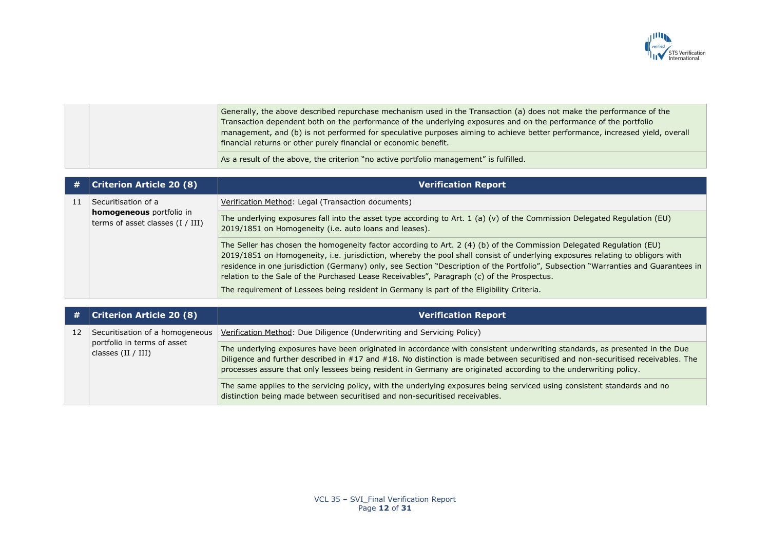

|  | Generally, the above described repurchase mechanism used in the Transaction (a) does not make the performance of the         |
|--|------------------------------------------------------------------------------------------------------------------------------|
|  | Transaction dependent both on the performance of the underlying exposures and on the performance of the portfolio            |
|  | management, and (b) is not performed for speculative purposes aiming to achieve better performance, increased yield, overall |
|  | financial returns or other purely financial or economic benefit.                                                             |
|  | As a result of the above, the criterion "no active portfolio management" is fulfilled.                                       |

| #  | <b>Criterion Article 20 (8)</b>                                                       | <b>Verification Report</b>                                                                                                                                                                                                                                                                                                                                                                                                                                                                |
|----|---------------------------------------------------------------------------------------|-------------------------------------------------------------------------------------------------------------------------------------------------------------------------------------------------------------------------------------------------------------------------------------------------------------------------------------------------------------------------------------------------------------------------------------------------------------------------------------------|
| 11 | Securitisation of a<br>homogeneous portfolio in<br>terms of asset classes $(I / III)$ | Verification Method: Legal (Transaction documents)                                                                                                                                                                                                                                                                                                                                                                                                                                        |
|    |                                                                                       | The underlying exposures fall into the asset type according to Art. 1 (a) (v) of the Commission Delegated Regulation (EU)<br>2019/1851 on Homogeneity (i.e. auto loans and leases).                                                                                                                                                                                                                                                                                                       |
|    |                                                                                       | The Seller has chosen the homogeneity factor according to Art. 2 (4) (b) of the Commission Delegated Regulation (EU)<br>2019/1851 on Homogeneity, i.e. jurisdiction, whereby the pool shall consist of underlying exposures relating to obligors with<br>residence in one jurisdiction (Germany) only, see Section "Description of the Portfolio", Subsection "Warranties and Guarantees in<br>relation to the Sale of the Purchased Lease Receivables", Paragraph (c) of the Prospectus. |
|    |                                                                                       | The requirement of Lessees being resident in Germany is part of the Eligibility Criteria.                                                                                                                                                                                                                                                                                                                                                                                                 |

| #  | <b>Criterion Article 20 (8)</b>                                                        | <b>Verification Report</b>                                                                                                                                                                                                                                                                                                                                                          |
|----|----------------------------------------------------------------------------------------|-------------------------------------------------------------------------------------------------------------------------------------------------------------------------------------------------------------------------------------------------------------------------------------------------------------------------------------------------------------------------------------|
| 12 | Securitisation of a homogeneous<br>portfolio in terms of asset<br>classes $(II / III)$ | Verification Method: Due Diligence (Underwriting and Servicing Policy)                                                                                                                                                                                                                                                                                                              |
|    |                                                                                        | The underlying exposures have been originated in accordance with consistent underwriting standards, as presented in the Due<br>Diligence and further described in #17 and #18. No distinction is made between securitised and non-securitised receivables. The<br>processes assure that only lessees being resident in Germany are originated according to the underwriting policy. |
|    |                                                                                        | The same applies to the servicing policy, with the underlying exposures being serviced using consistent standards and no<br>distinction being made between securitised and non-securitised receivables.                                                                                                                                                                             |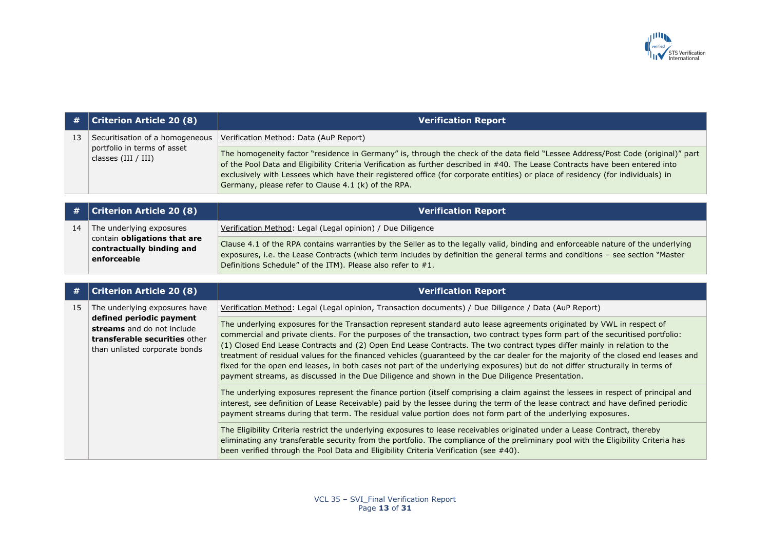

|    | $\#$   Criterion Article 20 (8)                                                         | <b>Verification Report</b>                                                                                                                                                                                                                                                                                                                                                                                                                                   |
|----|-----------------------------------------------------------------------------------------|--------------------------------------------------------------------------------------------------------------------------------------------------------------------------------------------------------------------------------------------------------------------------------------------------------------------------------------------------------------------------------------------------------------------------------------------------------------|
| 13 | Securitisation of a homogeneous<br>portfolio in terms of asset<br>classes $(III / III)$ | Verification Method: Data (AuP Report)                                                                                                                                                                                                                                                                                                                                                                                                                       |
|    |                                                                                         | The homogeneity factor "residence in Germany" is, through the check of the data field "Lessee Address/Post Code (original)" part<br>of the Pool Data and Eligibility Criteria Verification as further described in #40. The Lease Contracts have been entered into<br>exclusively with Lessees which have their registered office (for corporate entities) or place of residency (for individuals) in<br>Germany, please refer to Clause 4.1 (k) of the RPA. |

|    | $\#$   Criterion Article 20 (8)                                          | <b>Verification Report</b>                                                                                                                                                                                                                                                                                                         |
|----|--------------------------------------------------------------------------|------------------------------------------------------------------------------------------------------------------------------------------------------------------------------------------------------------------------------------------------------------------------------------------------------------------------------------|
| 14 | The underlying exposures                                                 | Verification Method: Legal (Legal opinion) / Due Diligence                                                                                                                                                                                                                                                                         |
|    | contain obligations that are<br>contractually binding and<br>enforceable | Clause 4.1 of the RPA contains warranties by the Seller as to the legally valid, binding and enforceable nature of the underlying<br>exposures, i.e. the Lease Contracts (which term includes by definition the general terms and conditions - see section "Master"<br>Definitions Schedule" of the ITM). Please also refer to #1. |

| #  | <b>Criterion Article 20 (8)</b>                                                                                                                           | <b>Verification Report</b>                                                                                                                                                                                                                                                                                                                                                                                                                                                                                                                                                                                                                                                                                                                                     |
|----|-----------------------------------------------------------------------------------------------------------------------------------------------------------|----------------------------------------------------------------------------------------------------------------------------------------------------------------------------------------------------------------------------------------------------------------------------------------------------------------------------------------------------------------------------------------------------------------------------------------------------------------------------------------------------------------------------------------------------------------------------------------------------------------------------------------------------------------------------------------------------------------------------------------------------------------|
| 15 | The underlying exposures have<br>defined periodic payment<br>streams and do not include<br>transferable securities other<br>than unlisted corporate bonds | Verification Method: Legal (Legal opinion, Transaction documents) / Due Diligence / Data (AuP Report)                                                                                                                                                                                                                                                                                                                                                                                                                                                                                                                                                                                                                                                          |
|    |                                                                                                                                                           | The underlying exposures for the Transaction represent standard auto lease agreements originated by VWL in respect of<br>commercial and private clients. For the purposes of the transaction, two contract types form part of the securitised portfolio:<br>(1) Closed End Lease Contracts and (2) Open End Lease Contracts. The two contract types differ mainly in relation to the<br>treatment of residual values for the financed vehicles (guaranteed by the car dealer for the majority of the closed end leases and<br>fixed for the open end leases, in both cases not part of the underlying exposures) but do not differ structurally in terms of<br>payment streams, as discussed in the Due Diligence and shown in the Due Diligence Presentation. |
|    |                                                                                                                                                           | The underlying exposures represent the finance portion (itself comprising a claim against the lessees in respect of principal and<br>interest, see definition of Lease Receivable) paid by the lessee during the term of the lease contract and have defined periodic<br>payment streams during that term. The residual value portion does not form part of the underlying exposures.                                                                                                                                                                                                                                                                                                                                                                          |
|    |                                                                                                                                                           | The Eligibility Criteria restrict the underlying exposures to lease receivables originated under a Lease Contract, thereby<br>eliminating any transferable security from the portfolio. The compliance of the preliminary pool with the Eligibility Criteria has<br>been verified through the Pool Data and Eligibility Criteria Verification (see #40).                                                                                                                                                                                                                                                                                                                                                                                                       |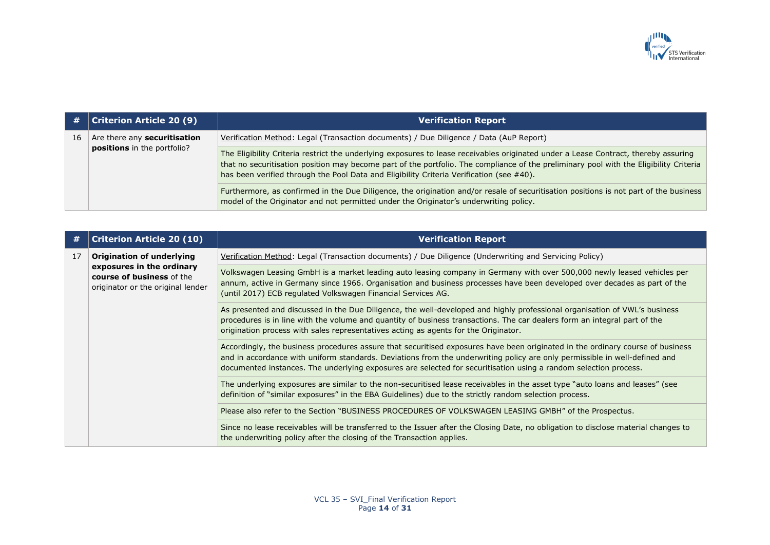

| #  | <b>Criterion Article 20 (9)</b>                             | <b>Verification Report</b>                                                                                                                                                                                                                                                                                                                                                |
|----|-------------------------------------------------------------|---------------------------------------------------------------------------------------------------------------------------------------------------------------------------------------------------------------------------------------------------------------------------------------------------------------------------------------------------------------------------|
| 16 | Are there any securitisation<br>positions in the portfolio? | Verification Method: Legal (Transaction documents) / Due Diligence / Data (AuP Report)                                                                                                                                                                                                                                                                                    |
|    |                                                             | The Eligibility Criteria restrict the underlying exposures to lease receivables originated under a Lease Contract, thereby assuring<br>that no securitisation position may become part of the portfolio. The compliance of the preliminary pool with the Eligibility Criteria<br>has been verified through the Pool Data and Eligibility Criteria Verification (see #40). |
|    |                                                             | Furthermore, as confirmed in the Due Diligence, the origination and/or resale of securitisation positions is not part of the business<br>model of the Originator and not permitted under the Originator's underwriting policy.                                                                                                                                            |

| #  | <b>Criterion Article 20 (10)</b>                                                                                                | <b>Verification Report</b>                                                                                                                                                                                                                                                                                                                                                       |
|----|---------------------------------------------------------------------------------------------------------------------------------|----------------------------------------------------------------------------------------------------------------------------------------------------------------------------------------------------------------------------------------------------------------------------------------------------------------------------------------------------------------------------------|
| 17 | <b>Origination of underlying</b><br>exposures in the ordinary<br>course of business of the<br>originator or the original lender | Verification Method: Legal (Transaction documents) / Due Diligence (Underwriting and Servicing Policy)                                                                                                                                                                                                                                                                           |
|    |                                                                                                                                 | Volkswagen Leasing GmbH is a market leading auto leasing company in Germany with over 500,000 newly leased vehicles per<br>annum, active in Germany since 1966. Organisation and business processes have been developed over decades as part of the<br>(until 2017) ECB regulated Volkswagen Financial Services AG.                                                              |
|    |                                                                                                                                 | As presented and discussed in the Due Diligence, the well-developed and highly professional organisation of VWL's business<br>procedures is in line with the volume and quantity of business transactions. The car dealers form an integral part of the<br>origination process with sales representatives acting as agents for the Originator.                                   |
|    |                                                                                                                                 | Accordingly, the business procedures assure that securitised exposures have been originated in the ordinary course of business<br>and in accordance with uniform standards. Deviations from the underwriting policy are only permissible in well-defined and<br>documented instances. The underlying exposures are selected for securitisation using a random selection process. |
|    |                                                                                                                                 | The underlying exposures are similar to the non-securitised lease receivables in the asset type "auto loans and leases" (see<br>definition of "similar exposures" in the EBA Guidelines) due to the strictly random selection process.                                                                                                                                           |
|    |                                                                                                                                 | Please also refer to the Section "BUSINESS PROCEDURES OF VOLKSWAGEN LEASING GMBH" of the Prospectus.                                                                                                                                                                                                                                                                             |
|    |                                                                                                                                 | Since no lease receivables will be transferred to the Issuer after the Closing Date, no obligation to disclose material changes to<br>the underwriting policy after the closing of the Transaction applies.                                                                                                                                                                      |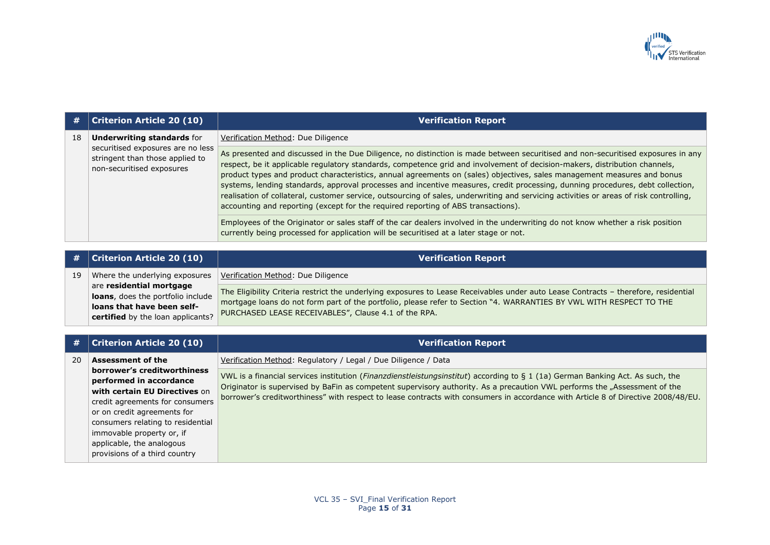

| #  | <b>Criterion Article 20 (10)</b>                                                                                                       | <b>Verification Report</b>                                                                                                                                                                                                                                                                                                                                                                                                                                                                                                                                                                                                                                                                                                                                 |
|----|----------------------------------------------------------------------------------------------------------------------------------------|------------------------------------------------------------------------------------------------------------------------------------------------------------------------------------------------------------------------------------------------------------------------------------------------------------------------------------------------------------------------------------------------------------------------------------------------------------------------------------------------------------------------------------------------------------------------------------------------------------------------------------------------------------------------------------------------------------------------------------------------------------|
| 18 | <b>Underwriting standards for</b><br>securitised exposures are no less<br>stringent than those applied to<br>non-securitised exposures | Verification Method: Due Diligence                                                                                                                                                                                                                                                                                                                                                                                                                                                                                                                                                                                                                                                                                                                         |
|    |                                                                                                                                        | As presented and discussed in the Due Diligence, no distinction is made between securitised and non-securitised exposures in any<br>respect, be it applicable regulatory standards, competence grid and involvement of decision-makers, distribution channels,<br>product types and product characteristics, annual agreements on (sales) objectives, sales management measures and bonus<br>systems, lending standards, approval processes and incentive measures, credit processing, dunning procedures, debt collection,<br>realisation of collateral, customer service, outsourcing of sales, underwriting and servicing activities or areas of risk controlling,<br>accounting and reporting (except for the required reporting of ABS transactions). |
|    |                                                                                                                                        | Employees of the Originator or sales staff of the car dealers involved in the underwriting do not know whether a risk position<br>currently being processed for application will be securitised at a later stage or not.                                                                                                                                                                                                                                                                                                                                                                                                                                                                                                                                   |

|    | $\#$   Criterion Article 20 (10)                                                                                                 | <b>Verification Report</b>                                                                                                                                                                                                                                                                                         |
|----|----------------------------------------------------------------------------------------------------------------------------------|--------------------------------------------------------------------------------------------------------------------------------------------------------------------------------------------------------------------------------------------------------------------------------------------------------------------|
| 19 | Where the underlying exposures                                                                                                   | Verification Method: Due Diligence                                                                                                                                                                                                                                                                                 |
|    | are residential mortgage<br>loans, does the portfolio include<br>loans that have been self-<br>certified by the loan applicants? | The Eligibility Criteria restrict the underlying exposures to Lease Receivables under auto Lease Contracts - therefore, residential<br>mortgage loans do not form part of the portfolio, please refer to Section "4. WARRANTIES BY VWL WITH RESPECT TO THE<br>PURCHASED LEASE RECEIVABLES", Clause 4.1 of the RPA. |

| #  | <b>Criterion Article 20 (10)</b>                                                                                                                                                                                                                                                          | <b>Verification Report</b>                                                                                                                                                                                                                                                                                                                                                                                |
|----|-------------------------------------------------------------------------------------------------------------------------------------------------------------------------------------------------------------------------------------------------------------------------------------------|-----------------------------------------------------------------------------------------------------------------------------------------------------------------------------------------------------------------------------------------------------------------------------------------------------------------------------------------------------------------------------------------------------------|
| 20 | <b>Assessment of the</b>                                                                                                                                                                                                                                                                  | Verification Method: Regulatory / Legal / Due Diligence / Data                                                                                                                                                                                                                                                                                                                                            |
|    | borrower's creditworthiness<br>performed in accordance<br>with certain EU Directives on<br>credit agreements for consumers<br>or on credit agreements for<br>consumers relating to residential<br>immovable property or, if<br>applicable, the analogous<br>provisions of a third country | VWL is a financial services institution ( <i>Finanzdienstleistungsinstitut</i> ) according to § 1 (1a) German Banking Act. As such, the<br>Originator is supervised by BaFin as competent supervisory authority. As a precaution VWL performs the "Assessment of the<br>borrower's creditworthiness" with respect to lease contracts with consumers in accordance with Article 8 of Directive 2008/48/EU. |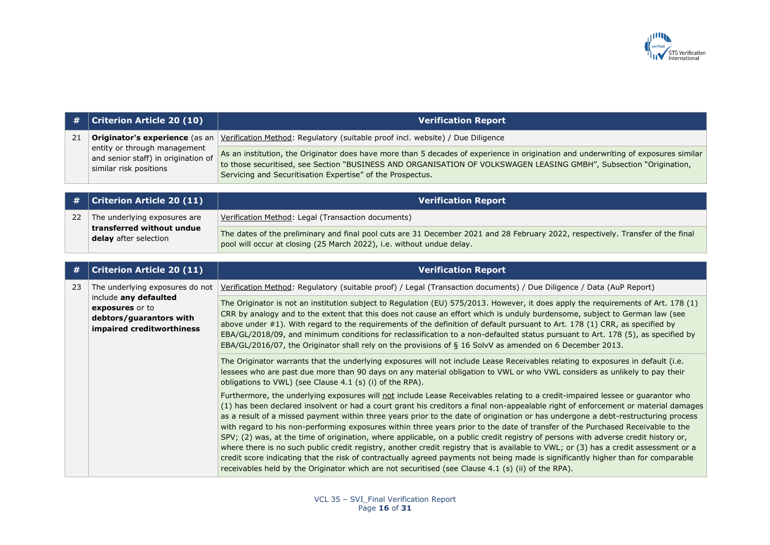

| #  | <b>Criterion Article 20 (10)</b>                                                                                                    | <b>Verification Report</b>                                                                                                                                                                                                                                                                                                                                                                                                                                                                                                                                                                                                                                                                                                                                                                                                                                                                                                                                                                                                                                            |
|----|-------------------------------------------------------------------------------------------------------------------------------------|-----------------------------------------------------------------------------------------------------------------------------------------------------------------------------------------------------------------------------------------------------------------------------------------------------------------------------------------------------------------------------------------------------------------------------------------------------------------------------------------------------------------------------------------------------------------------------------------------------------------------------------------------------------------------------------------------------------------------------------------------------------------------------------------------------------------------------------------------------------------------------------------------------------------------------------------------------------------------------------------------------------------------------------------------------------------------|
| 21 | Originator's experience (as an                                                                                                      | Verification Method: Regulatory (suitable proof incl. website) / Due Diligence                                                                                                                                                                                                                                                                                                                                                                                                                                                                                                                                                                                                                                                                                                                                                                                                                                                                                                                                                                                        |
|    | entity or through management<br>and senior staff) in origination of<br>similar risk positions                                       | As an institution, the Originator does have more than 5 decades of experience in origination and underwriting of exposures similar<br>to those securitised, see Section "BUSINESS AND ORGANISATION OF VOLKSWAGEN LEASING GMBH", Subsection "Origination,<br>Servicing and Securitisation Expertise" of the Prospectus.                                                                                                                                                                                                                                                                                                                                                                                                                                                                                                                                                                                                                                                                                                                                                |
|    |                                                                                                                                     |                                                                                                                                                                                                                                                                                                                                                                                                                                                                                                                                                                                                                                                                                                                                                                                                                                                                                                                                                                                                                                                                       |
|    | <b>Criterion Article 20 (11)</b>                                                                                                    | <b>Verification Report</b>                                                                                                                                                                                                                                                                                                                                                                                                                                                                                                                                                                                                                                                                                                                                                                                                                                                                                                                                                                                                                                            |
| 22 | The underlying exposures are                                                                                                        | Verification Method: Legal (Transaction documents)                                                                                                                                                                                                                                                                                                                                                                                                                                                                                                                                                                                                                                                                                                                                                                                                                                                                                                                                                                                                                    |
|    | transferred without undue<br>delay after selection                                                                                  | The dates of the preliminary and final pool cuts are 31 December 2021 and 28 February 2022, respectively. Transfer of the final<br>pool will occur at closing (25 March 2022), i.e. without undue delay.                                                                                                                                                                                                                                                                                                                                                                                                                                                                                                                                                                                                                                                                                                                                                                                                                                                              |
|    |                                                                                                                                     |                                                                                                                                                                                                                                                                                                                                                                                                                                                                                                                                                                                                                                                                                                                                                                                                                                                                                                                                                                                                                                                                       |
| #  | <b>Criterion Article 20 (11)</b>                                                                                                    | <b>Verification Report</b>                                                                                                                                                                                                                                                                                                                                                                                                                                                                                                                                                                                                                                                                                                                                                                                                                                                                                                                                                                                                                                            |
| 23 | The underlying exposures do not<br>include any defaulted<br>exposures or to<br>debtors/guarantors with<br>impaired creditworthiness | Verification Method: Regulatory (suitable proof) / Legal (Transaction documents) / Due Diligence / Data (AuP Report)                                                                                                                                                                                                                                                                                                                                                                                                                                                                                                                                                                                                                                                                                                                                                                                                                                                                                                                                                  |
|    |                                                                                                                                     | The Originator is not an institution subject to Regulation (EU) 575/2013. However, it does apply the requirements of Art. 178 (1)<br>CRR by analogy and to the extent that this does not cause an effort which is unduly burdensome, subject to German law (see<br>above under #1). With regard to the requirements of the definition of default pursuant to Art. 178 (1) CRR, as specified by<br>EBA/GL/2018/09, and minimum conditions for reclassification to a non-defaulted status pursuant to Art. 178 (5), as specified by<br>EBA/GL/2016/07, the Originator shall rely on the provisions of § 16 SolvV as amended on 6 December 2013.                                                                                                                                                                                                                                                                                                                                                                                                                         |
|    |                                                                                                                                     | The Originator warrants that the underlying exposures will not include Lease Receivables relating to exposures in default (i.e.<br>lessees who are past due more than 90 days on any material obligation to VWL or who VWL considers as unlikely to pay their<br>obligations to VWL) (see Clause 4.1 (s) (i) of the RPA).                                                                                                                                                                                                                                                                                                                                                                                                                                                                                                                                                                                                                                                                                                                                             |
|    |                                                                                                                                     | Furthermore, the underlying exposures will not include Lease Receivables relating to a credit-impaired lessee or guarantor who<br>(1) has been declared insolvent or had a court grant his creditors a final non-appealable right of enforcement or material damages<br>as a result of a missed payment within three years prior to the date of origination or has undergone a debt-restructuring process<br>with regard to his non-performing exposures within three years prior to the date of transfer of the Purchased Receivable to the<br>SPV; (2) was, at the time of origination, where applicable, on a public credit registry of persons with adverse credit history or,<br>where there is no such public credit registry, another credit registry that is available to VWL; or (3) has a credit assessment or a<br>credit score indicating that the risk of contractually agreed payments not being made is significantly higher than for comparable<br>receivables held by the Originator which are not securitised (see Clause 4.1 (s) (ii) of the RPA). |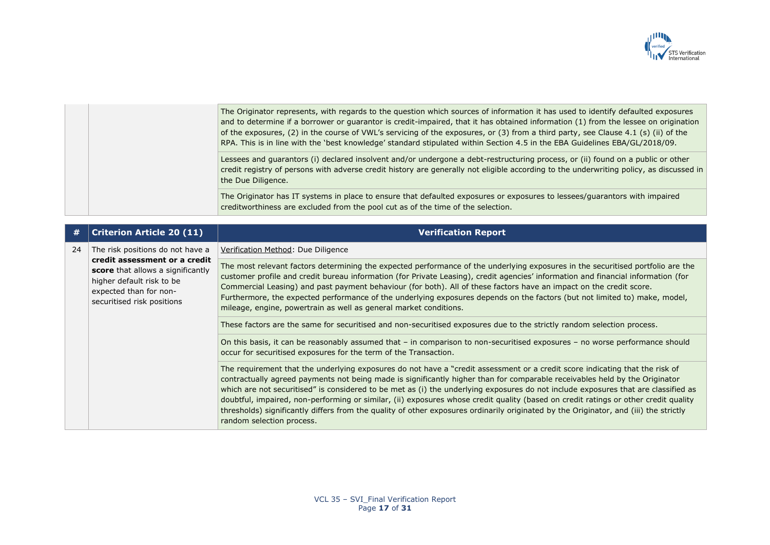

|  | The Originator represents, with regards to the question which sources of information it has used to identify defaulted exposures<br>and to determine if a borrower or guarantor is credit-impaired, that it has obtained information (1) from the lessee on origination<br>of the exposures, (2) in the course of VWL's servicing of the exposures, or (3) from a third party, see Clause 4.1 (s) (ii) of the<br>RPA. This is in line with the 'best knowledge' standard stipulated within Section 4.5 in the EBA Guidelines EBA/GL/2018/09. |
|--|----------------------------------------------------------------------------------------------------------------------------------------------------------------------------------------------------------------------------------------------------------------------------------------------------------------------------------------------------------------------------------------------------------------------------------------------------------------------------------------------------------------------------------------------|
|  | Lessees and guarantors (i) declared insolvent and/or undergone a debt-restructuring process, or (ii) found on a public or other<br>credit registry of persons with adverse credit history are generally not eligible according to the underwriting policy, as discussed in<br>the Due Diligence.                                                                                                                                                                                                                                             |
|  | The Originator has IT systems in place to ensure that defaulted exposures or exposures to lessees/guarantors with impaired<br>creditworthiness are excluded from the pool cut as of the time of the selection.                                                                                                                                                                                                                                                                                                                               |

| #  | <b>Criterion Article 20 (11)</b>                                                                                                                        | <b>Verification Report</b>                                                                                                                                                                                                                                                                                                                                                                                                                                                                                                                                                                                                                                                                                     |
|----|---------------------------------------------------------------------------------------------------------------------------------------------------------|----------------------------------------------------------------------------------------------------------------------------------------------------------------------------------------------------------------------------------------------------------------------------------------------------------------------------------------------------------------------------------------------------------------------------------------------------------------------------------------------------------------------------------------------------------------------------------------------------------------------------------------------------------------------------------------------------------------|
| 24 | The risk positions do not have a                                                                                                                        | Verification Method: Due Diligence                                                                                                                                                                                                                                                                                                                                                                                                                                                                                                                                                                                                                                                                             |
|    | credit assessment or a credit<br>score that allows a significantly<br>higher default risk to be<br>expected than for non-<br>securitised risk positions | The most relevant factors determining the expected performance of the underlying exposures in the securitised portfolio are the<br>customer profile and credit bureau information (for Private Leasing), credit agencies' information and financial information (for<br>Commercial Leasing) and past payment behaviour (for both). All of these factors have an impact on the credit score.<br>Furthermore, the expected performance of the underlying exposures depends on the factors (but not limited to) make, model,<br>mileage, engine, powertrain as well as general market conditions.                                                                                                                 |
|    |                                                                                                                                                         | These factors are the same for securitised and non-securitised exposures due to the strictly random selection process.                                                                                                                                                                                                                                                                                                                                                                                                                                                                                                                                                                                         |
|    |                                                                                                                                                         | On this basis, it can be reasonably assumed that - in comparison to non-securitised exposures - no worse performance should<br>occur for securitised exposures for the term of the Transaction.                                                                                                                                                                                                                                                                                                                                                                                                                                                                                                                |
|    |                                                                                                                                                         | The requirement that the underlying exposures do not have a "credit assessment or a credit score indicating that the risk of<br>contractually agreed payments not being made is significantly higher than for comparable receivables held by the Originator<br>which are not securitised" is considered to be met as (i) the underlying exposures do not include exposures that are classified as<br>doubtful, impaired, non-performing or similar, (ii) exposures whose credit quality (based on credit ratings or other credit quality<br>thresholds) significantly differs from the quality of other exposures ordinarily originated by the Originator, and (iii) the strictly<br>random selection process. |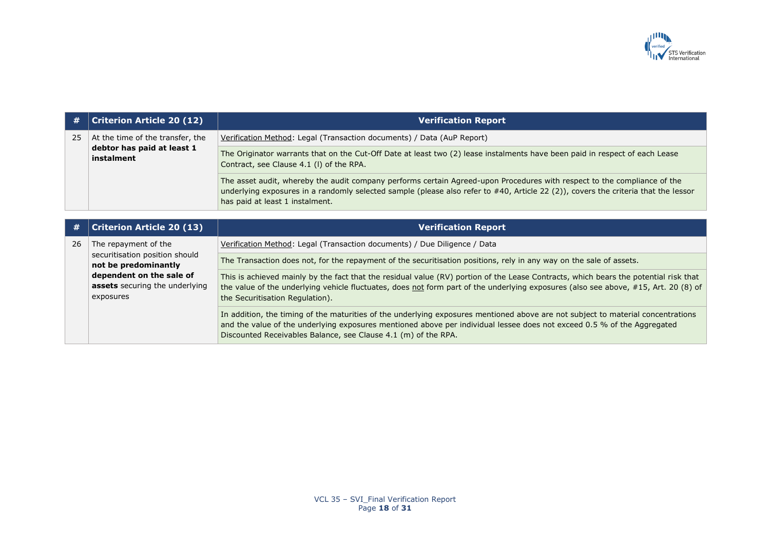

| #  | <b>Criterion Article 20 (12)</b>                                               | <b>Verification Report</b>                                                                                                                                                                                                                                                                                                    |
|----|--------------------------------------------------------------------------------|-------------------------------------------------------------------------------------------------------------------------------------------------------------------------------------------------------------------------------------------------------------------------------------------------------------------------------|
| 25 | At the time of the transfer, the<br>debtor has paid at least 1<br>instalment   | Verification Method: Legal (Transaction documents) / Data (AuP Report)                                                                                                                                                                                                                                                        |
|    |                                                                                | The Originator warrants that on the Cut-Off Date at least two (2) lease instalments have been paid in respect of each Lease<br>Contract, see Clause 4.1 (I) of the RPA.                                                                                                                                                       |
|    |                                                                                | The asset audit, whereby the audit company performs certain Agreed-upon Procedures with respect to the compliance of the<br>underlying exposures in a randomly selected sample (please also refer to $#40$ , Article 22 (2)), covers the criteria that the lessor<br>has paid at least 1 instalment.                          |
|    |                                                                                |                                                                                                                                                                                                                                                                                                                               |
| #  | <b>Criterion Article 20 (13)</b>                                               | <b>Verification Report</b>                                                                                                                                                                                                                                                                                                    |
| 26 | The repayment of the<br>securitisation position should<br>not be predominantly | Verification Method: Legal (Transaction documents) / Due Diligence / Data                                                                                                                                                                                                                                                     |
|    |                                                                                | The Transaction does not, for the repayment of the securitisation positions, rely in any way on the sale of assets.                                                                                                                                                                                                           |
|    | dependent on the sale of<br><b>assets</b> securing the underlying<br>exposures | This is achieved mainly by the fact that the residual value (RV) portion of the Lease Contracts, which bears the potential risk that<br>the value of the underlying vehicle fluctuates, does not form part of the underlying exposures (also see above, #15, Art. 20 (8) of<br>the Securitisation Regulation).                |
|    |                                                                                | In addition, the timing of the maturities of the underlying exposures mentioned above are not subject to material concentrations<br>and the value of the underlying exposures mentioned above per individual lessee does not exceed 0.5 % of the Aggregated<br>Discounted Receivables Balance, see Clause 4.1 (m) of the RPA. |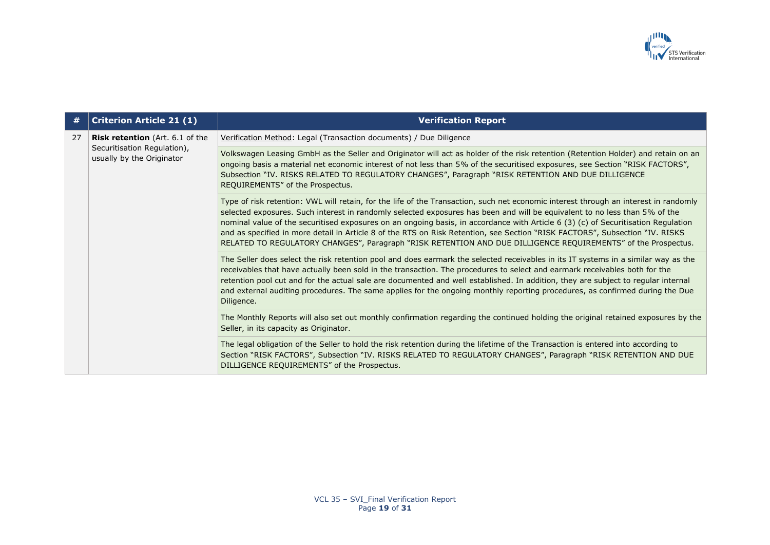

| #  | <b>Criterion Article 21 (1)</b>                                                                    | <b>Verification Report</b>                                                                                                                                                                                                                                                                                                                                                                                                                                                                                                                                                                                                                               |
|----|----------------------------------------------------------------------------------------------------|----------------------------------------------------------------------------------------------------------------------------------------------------------------------------------------------------------------------------------------------------------------------------------------------------------------------------------------------------------------------------------------------------------------------------------------------------------------------------------------------------------------------------------------------------------------------------------------------------------------------------------------------------------|
| 27 | <b>Risk retention</b> (Art. 6.1 of the<br>Securitisation Regulation),<br>usually by the Originator | Verification Method: Legal (Transaction documents) / Due Diligence                                                                                                                                                                                                                                                                                                                                                                                                                                                                                                                                                                                       |
|    |                                                                                                    | Volkswagen Leasing GmbH as the Seller and Originator will act as holder of the risk retention (Retention Holder) and retain on an<br>ongoing basis a material net economic interest of not less than 5% of the securitised exposures, see Section "RISK FACTORS",<br>Subsection "IV. RISKS RELATED TO REGULATORY CHANGES", Paragraph "RISK RETENTION AND DUE DILLIGENCE<br>REQUIREMENTS" of the Prospectus.                                                                                                                                                                                                                                              |
|    |                                                                                                    | Type of risk retention: VWL will retain, for the life of the Transaction, such net economic interest through an interest in randomly<br>selected exposures. Such interest in randomly selected exposures has been and will be equivalent to no less than 5% of the<br>nominal value of the securitised exposures on an ongoing basis, in accordance with Article 6 (3) (c) of Securitisation Regulation<br>and as specified in more detail in Article 8 of the RTS on Risk Retention, see Section "RISK FACTORS", Subsection "IV. RISKS<br>RELATED TO REGULATORY CHANGES", Paragraph "RISK RETENTION AND DUE DILLIGENCE REQUIREMENTS" of the Prospectus. |
|    |                                                                                                    | The Seller does select the risk retention pool and does earmark the selected receivables in its IT systems in a similar way as the<br>receivables that have actually been sold in the transaction. The procedures to select and earmark receivables both for the<br>retention pool cut and for the actual sale are documented and well established. In addition, they are subject to regular internal<br>and external auditing procedures. The same applies for the ongoing monthly reporting procedures, as confirmed during the Due<br>Diligence.                                                                                                      |
|    |                                                                                                    | The Monthly Reports will also set out monthly confirmation regarding the continued holding the original retained exposures by the<br>Seller, in its capacity as Originator.                                                                                                                                                                                                                                                                                                                                                                                                                                                                              |
|    |                                                                                                    | The legal obligation of the Seller to hold the risk retention during the lifetime of the Transaction is entered into according to<br>Section "RISK FACTORS", Subsection "IV. RISKS RELATED TO REGULATORY CHANGES", Paragraph "RISK RETENTION AND DUE<br>DILLIGENCE REQUIREMENTS" of the Prospectus.                                                                                                                                                                                                                                                                                                                                                      |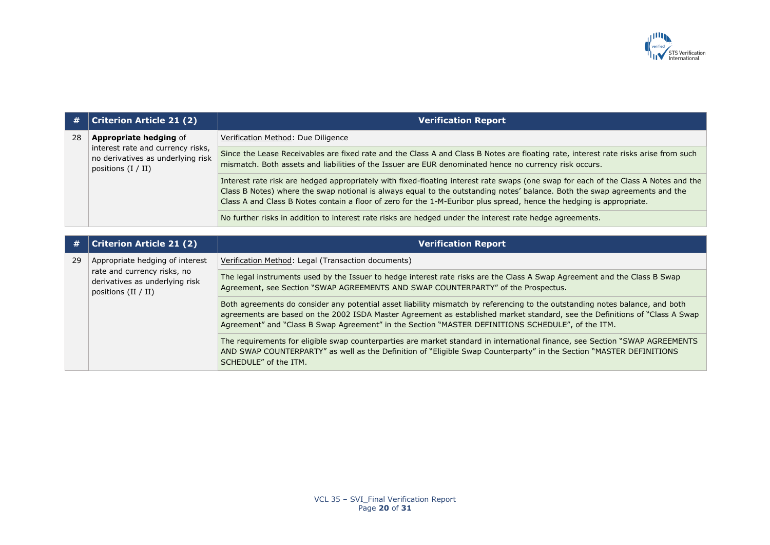

| #  | <b>Criterion Article 21 (2)</b>                                                                                           | <b>Verification Report</b>                                                                                                                                                                                                                                                                                                                                                                |
|----|---------------------------------------------------------------------------------------------------------------------------|-------------------------------------------------------------------------------------------------------------------------------------------------------------------------------------------------------------------------------------------------------------------------------------------------------------------------------------------------------------------------------------------|
| 28 | <b>Appropriate hedging of</b>                                                                                             | Verification Method: Due Diligence                                                                                                                                                                                                                                                                                                                                                        |
|    | interest rate and currency risks,<br>no derivatives as underlying risk<br>positions $(I / II)$                            | Since the Lease Receivables are fixed rate and the Class A and Class B Notes are floating rate, interest rate risks arise from such<br>mismatch. Both assets and liabilities of the Issuer are EUR denominated hence no currency risk occurs.                                                                                                                                             |
|    |                                                                                                                           | Interest rate risk are hedged appropriately with fixed-floating interest rate swaps (one swap for each of the Class A Notes and the<br>Class B Notes) where the swap notional is always equal to the outstanding notes' balance. Both the swap agreements and the<br>Class A and Class B Notes contain a floor of zero for the 1-M-Euribor plus spread, hence the hedging is appropriate. |
|    |                                                                                                                           | No further risks in addition to interest rate risks are hedged under the interest rate hedge agreements.                                                                                                                                                                                                                                                                                  |
|    |                                                                                                                           |                                                                                                                                                                                                                                                                                                                                                                                           |
| #  | <b>Criterion Article 21 (2)</b>                                                                                           | <b>Verification Report</b>                                                                                                                                                                                                                                                                                                                                                                |
| 29 | Appropriate hedging of interest<br>rate and currency risks, no<br>derivatives as underlying risk<br>positions $(II / II)$ | Verification Method: Legal (Transaction documents)                                                                                                                                                                                                                                                                                                                                        |
|    |                                                                                                                           | The legal instruments used by the Issuer to hedge interest rate risks are the Class A Swap Agreement and the Class B Swap<br>Agreement, see Section "SWAP AGREEMENTS AND SWAP COUNTERPARTY" of the Prospectus.                                                                                                                                                                            |
|    |                                                                                                                           | Both agreements do consider any potential asset liability mismatch by referencing to the outstanding notes balance, and both<br>agreements are based on the 2002 ISDA Master Agreement as established market standard, see the Definitions of "Class A Swap<br>Agreement" and "Class B Swap Agreement" in the Section "MASTER DEFINITIONS SCHEDULE", of the ITM.                          |
|    |                                                                                                                           | The requirements for eligible swap counterparties are market standard in international finance, see Section "SWAP AGREEMENTS<br>AND SWAP COUNTERPARTY" as well as the Definition of "Eligible Swap Counterparty" in the Section "MASTER DEFINITIONS<br>SCHEDULE" of the ITM.                                                                                                              |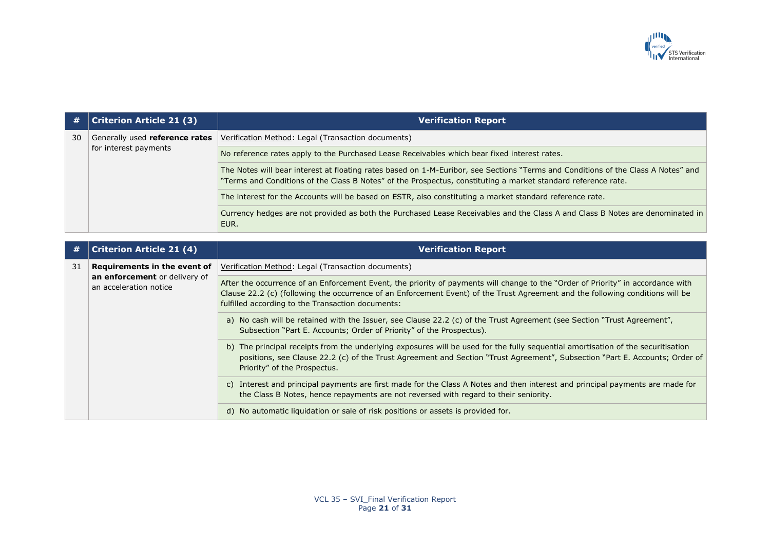

| #  | <b>Criterion Article 21 (3)</b>                         | <b>Verification Report</b>                                                                                                                                                                                                                                                                                              |
|----|---------------------------------------------------------|-------------------------------------------------------------------------------------------------------------------------------------------------------------------------------------------------------------------------------------------------------------------------------------------------------------------------|
| 30 | Generally used reference rates                          | Verification Method: Legal (Transaction documents)                                                                                                                                                                                                                                                                      |
|    | for interest payments                                   | No reference rates apply to the Purchased Lease Receivables which bear fixed interest rates.                                                                                                                                                                                                                            |
|    |                                                         | The Notes will bear interest at floating rates based on 1-M-Euribor, see Sections "Terms and Conditions of the Class A Notes" and<br>"Terms and Conditions of the Class B Notes" of the Prospectus, constituting a market standard reference rate.                                                                      |
|    |                                                         | The interest for the Accounts will be based on ESTR, also constituting a market standard reference rate.                                                                                                                                                                                                                |
|    |                                                         | Currency hedges are not provided as both the Purchased Lease Receivables and the Class A and Class B Notes are denominated in<br>EUR.                                                                                                                                                                                   |
|    |                                                         |                                                                                                                                                                                                                                                                                                                         |
| #  | <b>Criterion Article 21 (4)</b>                         | <b>Verification Report</b>                                                                                                                                                                                                                                                                                              |
| 31 | Requirements in the event of                            | Verification Method: Legal (Transaction documents)                                                                                                                                                                                                                                                                      |
|    | an enforcement or delivery of<br>an acceleration notice | After the occurrence of an Enforcement Event, the priority of payments will change to the "Order of Priority" in accordance with<br>Clause 22.2 (c) (following the occurrence of an Enforcement Event) of the Trust Agreement and the following conditions will be<br>fulfilled according to the Transaction documents: |
|    |                                                         | a) No cash will be retained with the Issuer, see Clause 22.2 (c) of the Trust Agreement (see Section "Trust Agreement",<br>Subsection "Part E. Accounts; Order of Priority" of the Prospectus).                                                                                                                         |
|    |                                                         | b) The principal receipts from the underlying exposures will be used for the fully sequential amortisation of the securitisation<br>positions, see Clause 22.2 (c) of the Trust Agreement and Section "Trust Agreement", Subsection "Part E. Accounts; Order of<br>Priority" of the Prospectus.                         |
|    |                                                         | c) Interest and principal payments are first made for the Class A Notes and then interest and principal payments are made for<br>the Class B Notes, hence repayments are not reversed with regard to their seniority.                                                                                                   |
|    |                                                         | d) No automatic liquidation or sale of risk positions or assets is provided for.                                                                                                                                                                                                                                        |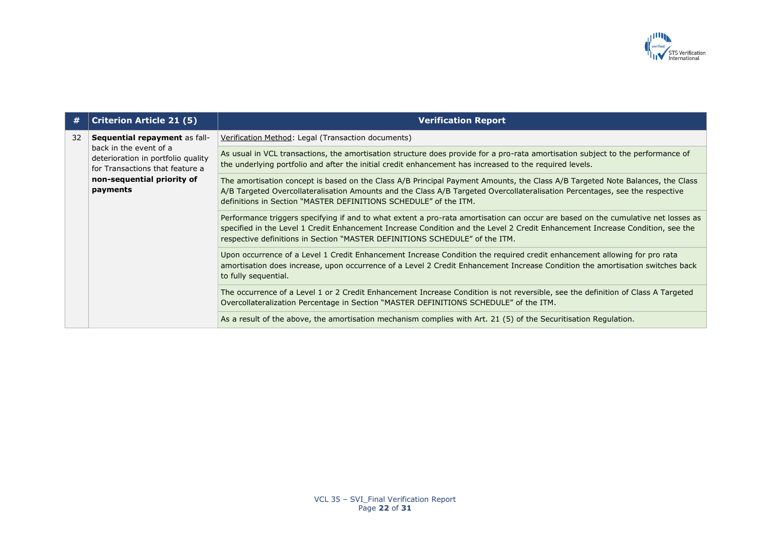

| #  | <b>Criterion Article 21 (5)</b>                                                                 | <b>Verification Report</b>                                                                                                                                                                                                                                                                                                                        |
|----|-------------------------------------------------------------------------------------------------|---------------------------------------------------------------------------------------------------------------------------------------------------------------------------------------------------------------------------------------------------------------------------------------------------------------------------------------------------|
| 32 | Sequential repayment as fall-                                                                   | Verification Method: Legal (Transaction documents)                                                                                                                                                                                                                                                                                                |
|    | back in the event of a<br>deterioration in portfolio quality<br>for Transactions that feature a | As usual in VCL transactions, the amortisation structure does provide for a pro-rata amortisation subject to the performance of<br>the underlying portfolio and after the initial credit enhancement has increased to the required levels.                                                                                                        |
|    | non-sequential priority of<br>payments                                                          | The amortisation concept is based on the Class A/B Principal Payment Amounts, the Class A/B Targeted Note Balances, the Class<br>A/B Targeted Overcollateralisation Amounts and the Class A/B Targeted Overcollateralisation Percentages, see the respective<br>definitions in Section "MASTER DEFINITIONS SCHEDULE" of the ITM.                  |
|    |                                                                                                 | Performance triggers specifying if and to what extent a pro-rata amortisation can occur are based on the cumulative net losses as<br>specified in the Level 1 Credit Enhancement Increase Condition and the Level 2 Credit Enhancement Increase Condition, see the<br>respective definitions in Section "MASTER DEFINITIONS SCHEDULE" of the ITM. |
|    |                                                                                                 | Upon occurrence of a Level 1 Credit Enhancement Increase Condition the required credit enhancement allowing for pro rata<br>amortisation does increase, upon occurrence of a Level 2 Credit Enhancement Increase Condition the amortisation switches back<br>to fully sequential.                                                                 |
|    |                                                                                                 | The occurrence of a Level 1 or 2 Credit Enhancement Increase Condition is not reversible, see the definition of Class A Targeted<br>Overcollateralization Percentage in Section "MASTER DEFINITIONS SCHEDULE" of the ITM.                                                                                                                         |
|    |                                                                                                 | As a result of the above, the amortisation mechanism complies with Art. 21 (5) of the Securitisation Regulation.                                                                                                                                                                                                                                  |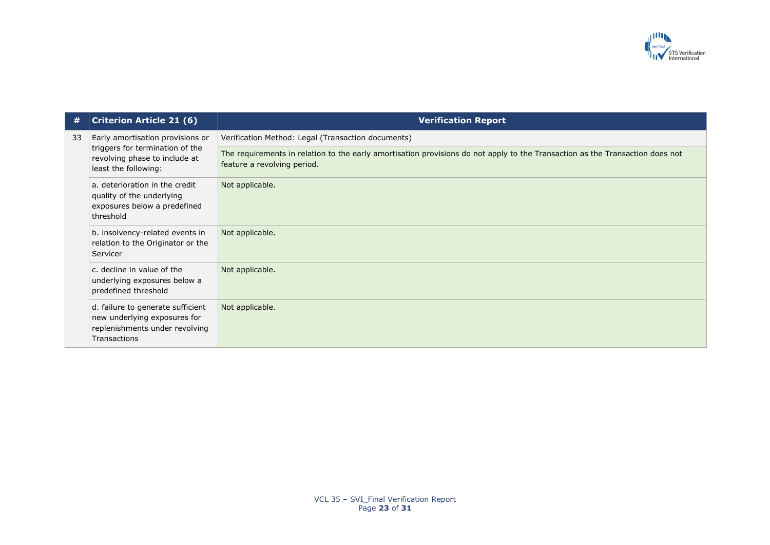

| #  | <b>Criterion Article 21 (6)</b>                                                                                              | <b>Verification Report</b>                                                                                                                                   |
|----|------------------------------------------------------------------------------------------------------------------------------|--------------------------------------------------------------------------------------------------------------------------------------------------------------|
| 33 | Early amortisation provisions or<br>triggers for termination of the<br>revolving phase to include at<br>least the following: | Verification Method: Legal (Transaction documents)                                                                                                           |
|    |                                                                                                                              | The requirements in relation to the early amortisation provisions do not apply to the Transaction as the Transaction does not<br>feature a revolving period. |
|    | a. deterioration in the credit<br>quality of the underlying<br>exposures below a predefined<br>threshold                     | Not applicable.                                                                                                                                              |
|    | b. insolvency-related events in<br>relation to the Originator or the<br>Servicer                                             | Not applicable.                                                                                                                                              |
|    | c. decline in value of the<br>underlying exposures below a<br>predefined threshold                                           | Not applicable.                                                                                                                                              |
|    | d. failure to generate sufficient<br>new underlying exposures for<br>replenishments under revolving<br>Transactions          | Not applicable.                                                                                                                                              |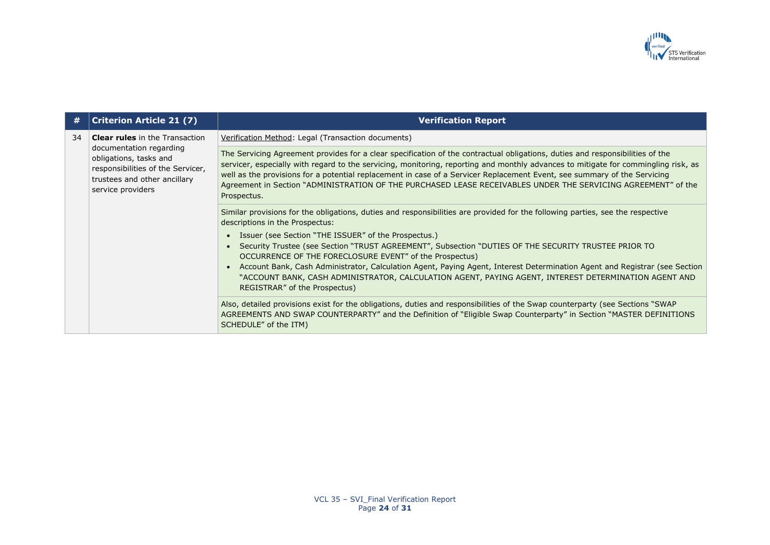

| #  | <b>Criterion Article 21 (7)</b>                                                                                                                                                      | <b>Verification Report</b>                                                                                                                                                                                                                                                                                                                                                                                                                                                                                                      |
|----|--------------------------------------------------------------------------------------------------------------------------------------------------------------------------------------|---------------------------------------------------------------------------------------------------------------------------------------------------------------------------------------------------------------------------------------------------------------------------------------------------------------------------------------------------------------------------------------------------------------------------------------------------------------------------------------------------------------------------------|
| 34 | <b>Clear rules</b> in the Transaction<br>documentation regarding<br>obligations, tasks and<br>responsibilities of the Servicer,<br>trustees and other ancillary<br>service providers | Verification Method: Legal (Transaction documents)                                                                                                                                                                                                                                                                                                                                                                                                                                                                              |
|    |                                                                                                                                                                                      | The Servicing Agreement provides for a clear specification of the contractual obligations, duties and responsibilities of the<br>servicer, especially with regard to the servicing, monitoring, reporting and monthly advances to mitigate for commingling risk, as<br>well as the provisions for a potential replacement in case of a Servicer Replacement Event, see summary of the Servicing<br>Agreement in Section "ADMINISTRATION OF THE PURCHASED LEASE RECEIVABLES UNDER THE SERVICING AGREEMENT" of the<br>Prospectus. |
|    |                                                                                                                                                                                      | Similar provisions for the obligations, duties and responsibilities are provided for the following parties, see the respective<br>descriptions in the Prospectus:                                                                                                                                                                                                                                                                                                                                                               |
|    |                                                                                                                                                                                      | • Issuer (see Section "THE ISSUER" of the Prospectus.)                                                                                                                                                                                                                                                                                                                                                                                                                                                                          |
|    |                                                                                                                                                                                      | Security Trustee (see Section "TRUST AGREEMENT", Subsection "DUTIES OF THE SECURITY TRUSTEE PRIOR TO<br>OCCURRENCE OF THE FORECLOSURE EVENT" of the Prospectus)                                                                                                                                                                                                                                                                                                                                                                 |
|    |                                                                                                                                                                                      | Account Bank, Cash Administrator, Calculation Agent, Paying Agent, Interest Determination Agent and Registrar (see Section<br>"ACCOUNT BANK, CASH ADMINISTRATOR, CALCULATION AGENT, PAYING AGENT, INTEREST DETERMINATION AGENT AND<br>REGISTRAR" of the Prospectus)                                                                                                                                                                                                                                                             |
|    |                                                                                                                                                                                      | Also, detailed provisions exist for the obligations, duties and responsibilities of the Swap counterparty (see Sections "SWAP<br>AGREEMENTS AND SWAP COUNTERPARTY" and the Definition of "Eligible Swap Counterparty" in Section "MASTER DEFINITIONS<br>SCHEDULE" of the ITM)                                                                                                                                                                                                                                                   |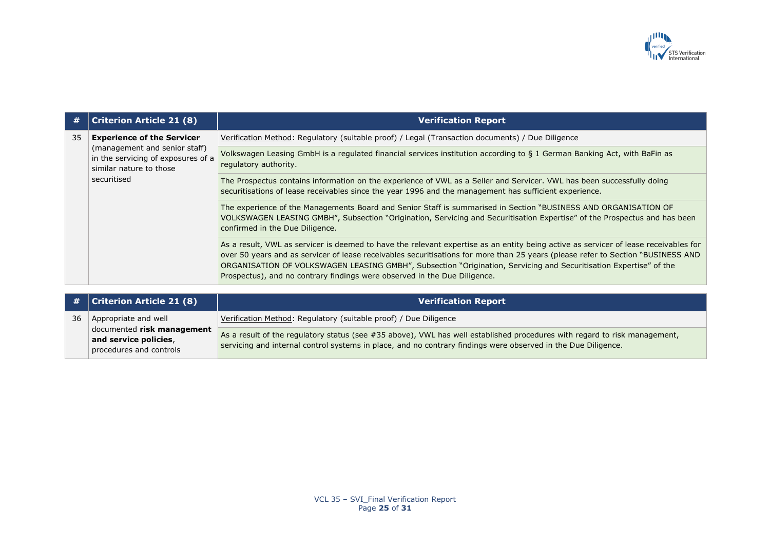

| #  | <b>Criterion Article 21 (8)</b>                                                                                                                    | <b>Verification Report</b>                                                                                                                                                                                                                                                                                                                                                                                                                                                 |
|----|----------------------------------------------------------------------------------------------------------------------------------------------------|----------------------------------------------------------------------------------------------------------------------------------------------------------------------------------------------------------------------------------------------------------------------------------------------------------------------------------------------------------------------------------------------------------------------------------------------------------------------------|
| 35 | <b>Experience of the Servicer</b><br>(management and senior staff)<br>in the servicing of exposures of a<br>similar nature to those<br>securitised | Verification Method: Regulatory (suitable proof) / Legal (Transaction documents) / Due Diligence                                                                                                                                                                                                                                                                                                                                                                           |
|    |                                                                                                                                                    | Volkswagen Leasing GmbH is a regulated financial services institution according to § 1 German Banking Act, with BaFin as<br>regulatory authority.                                                                                                                                                                                                                                                                                                                          |
|    |                                                                                                                                                    | The Prospectus contains information on the experience of VWL as a Seller and Servicer. VWL has been successfully doing<br>securitisations of lease receivables since the year 1996 and the management has sufficient experience.                                                                                                                                                                                                                                           |
|    |                                                                                                                                                    | The experience of the Managements Board and Senior Staff is summarised in Section "BUSINESS AND ORGANISATION OF<br>VOLKSWAGEN LEASING GMBH", Subsection "Origination, Servicing and Securitisation Expertise" of the Prospectus and has been<br>confirmed in the Due Diligence.                                                                                                                                                                                            |
|    |                                                                                                                                                    | As a result, VWL as servicer is deemed to have the relevant expertise as an entity being active as servicer of lease receivables for<br>over 50 years and as servicer of lease receivables securitisations for more than 25 years (please refer to Section "BUSINESS AND<br>ORGANISATION OF VOLKSWAGEN LEASING GMBH", Subsection "Origination, Servicing and Securitisation Expertise" of the<br>Prospectus), and no contrary findings were observed in the Due Diligence. |

|    | # $ $ Criterion Article 21 (8)                                                 | <b>Verification Report</b>                                                                                                                                                                                                                 |
|----|--------------------------------------------------------------------------------|--------------------------------------------------------------------------------------------------------------------------------------------------------------------------------------------------------------------------------------------|
| 36 | Appropriate and well                                                           | Verification Method: Regulatory (suitable proof) / Due Diligence                                                                                                                                                                           |
|    | documented risk management<br>and service policies,<br>procedures and controls | As a result of the regulatory status (see #35 above), VWL has well established procedures with regard to risk management,<br>servicing and internal control systems in place, and no contrary findings were observed in the Due Diligence. |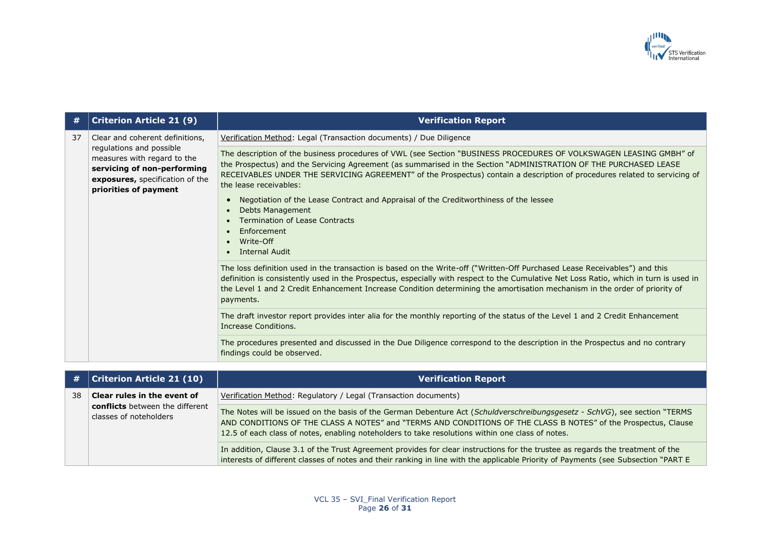

| #  | <b>Criterion Article 21 (9)</b>                                                                                                                                                       | <b>Verification Report</b>                                                                                                                                                                                                                                                                                                                                                                                                                                                                                                                                                                        |
|----|---------------------------------------------------------------------------------------------------------------------------------------------------------------------------------------|---------------------------------------------------------------------------------------------------------------------------------------------------------------------------------------------------------------------------------------------------------------------------------------------------------------------------------------------------------------------------------------------------------------------------------------------------------------------------------------------------------------------------------------------------------------------------------------------------|
| 37 | Clear and coherent definitions,<br>regulations and possible<br>measures with regard to the<br>servicing of non-performing<br>exposures, specification of the<br>priorities of payment | Verification Method: Legal (Transaction documents) / Due Diligence                                                                                                                                                                                                                                                                                                                                                                                                                                                                                                                                |
|    |                                                                                                                                                                                       | The description of the business procedures of VWL (see Section "BUSINESS PROCEDURES OF VOLKSWAGEN LEASING GMBH" of<br>the Prospectus) and the Servicing Agreement (as summarised in the Section "ADMINISTRATION OF THE PURCHASED LEASE<br>RECEIVABLES UNDER THE SERVICING AGREEMENT" of the Prospectus) contain a description of procedures related to servicing of<br>the lease receivables:<br>Negotiation of the Lease Contract and Appraisal of the Creditworthiness of the lessee<br>Debts Management<br><b>Termination of Lease Contracts</b><br>Enforcement<br>Write-Off<br>Internal Audit |
|    |                                                                                                                                                                                       | The loss definition used in the transaction is based on the Write-off ("Written-Off Purchased Lease Receivables") and this<br>definition is consistently used in the Prospectus, especially with respect to the Cumulative Net Loss Ratio, which in turn is used in<br>the Level 1 and 2 Credit Enhancement Increase Condition determining the amortisation mechanism in the order of priority of<br>payments.<br>The draft investor report provides inter alia for the monthly reporting of the status of the Level 1 and 2 Credit Enhancement                                                   |
|    |                                                                                                                                                                                       | Increase Conditions.                                                                                                                                                                                                                                                                                                                                                                                                                                                                                                                                                                              |
|    |                                                                                                                                                                                       | The procedures presented and discussed in the Due Diligence correspond to the description in the Prospectus and no contrary<br>findings could be observed.                                                                                                                                                                                                                                                                                                                                                                                                                                        |

| #  | Criterion Article 21 (10)                                 | <b>Verification Report</b>                                                                                                                                                                                                                                                                                                                       |
|----|-----------------------------------------------------------|--------------------------------------------------------------------------------------------------------------------------------------------------------------------------------------------------------------------------------------------------------------------------------------------------------------------------------------------------|
| 38 | Clear rules in the event of                               | Verification Method: Regulatory / Legal (Transaction documents)                                                                                                                                                                                                                                                                                  |
|    | conflicts between the different<br>classes of noteholders | The Notes will be issued on the basis of the German Debenture Act (Schuldverschreibungsgesetz - SchVG), see section "TERMS<br>AND CONDITIONS OF THE CLASS A NOTES" and "TERMS AND CONDITIONS OF THE CLASS B NOTES" of the Prospectus, Clause<br>12.5 of each class of notes, enabling noteholders to take resolutions within one class of notes. |
|    |                                                           | In addition, Clause 3.1 of the Trust Agreement provides for clear instructions for the trustee as regards the treatment of the<br>interests of different classes of notes and their ranking in line with the applicable Priority of Payments (see Subsection "PART E                                                                             |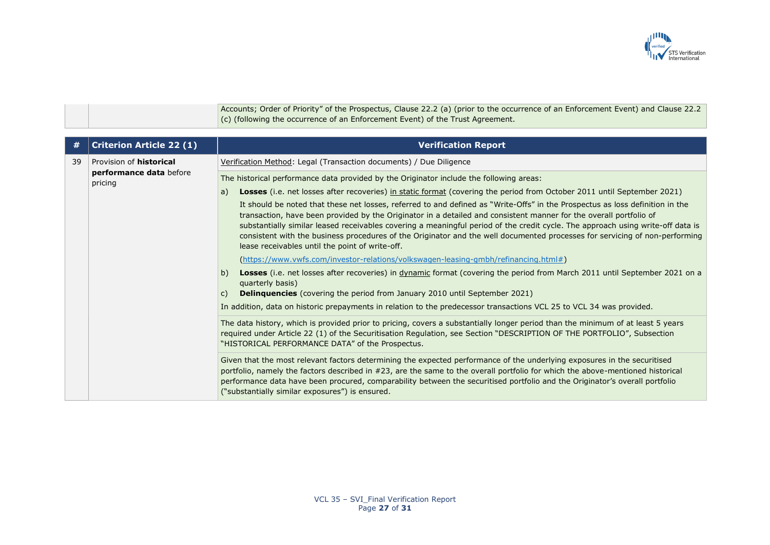

Accounts; Order of Priority" of the Prospectus, Clause 22.2 (a) (prior to the occurrence of an Enforcement Event) and Clause 22.2 (c) (following the occurrence of an Enforcement Event) of the Trust Agreement.

| #  | <b>Criterion Article 22 (1)</b>                                      | <b>Verification Report</b>                                                                                                                                                                                                                                                                                                                                                                                                                                                                                                                                               |
|----|----------------------------------------------------------------------|--------------------------------------------------------------------------------------------------------------------------------------------------------------------------------------------------------------------------------------------------------------------------------------------------------------------------------------------------------------------------------------------------------------------------------------------------------------------------------------------------------------------------------------------------------------------------|
| 39 | Provision of <b>historical</b><br>performance data before<br>pricing | Verification Method: Legal (Transaction documents) / Due Diligence                                                                                                                                                                                                                                                                                                                                                                                                                                                                                                       |
|    |                                                                      | The historical performance data provided by the Originator include the following areas:                                                                                                                                                                                                                                                                                                                                                                                                                                                                                  |
|    |                                                                      | Losses (i.e. net losses after recoveries) in static format (covering the period from October 2011 until September 2021)<br>a)                                                                                                                                                                                                                                                                                                                                                                                                                                            |
|    |                                                                      | It should be noted that these net losses, referred to and defined as "Write-Offs" in the Prospectus as loss definition in the<br>transaction, have been provided by the Originator in a detailed and consistent manner for the overall portfolio of<br>substantially similar leased receivables covering a meaningful period of the credit cycle. The approach using write-off data is<br>consistent with the business procedures of the Originator and the well documented processes for servicing of non-performing<br>lease receivables until the point of write-off. |
|    |                                                                      | (https://www.vwfs.com/investor-relations/volkswagen-leasing-gmbh/refinancing.html#)                                                                                                                                                                                                                                                                                                                                                                                                                                                                                      |
|    |                                                                      | Losses (i.e. net losses after recoveries) in dynamic format (covering the period from March 2011 until September 2021 on a<br>b)<br>quarterly basis)                                                                                                                                                                                                                                                                                                                                                                                                                     |
|    |                                                                      | <b>Delinquencies</b> (covering the period from January 2010 until September 2021)<br>C)                                                                                                                                                                                                                                                                                                                                                                                                                                                                                  |
|    |                                                                      | In addition, data on historic prepayments in relation to the predecessor transactions VCL 25 to VCL 34 was provided.                                                                                                                                                                                                                                                                                                                                                                                                                                                     |
|    |                                                                      | The data history, which is provided prior to pricing, covers a substantially longer period than the minimum of at least 5 years<br>required under Article 22 (1) of the Securitisation Regulation, see Section "DESCRIPTION OF THE PORTFOLIO", Subsection<br>"HISTORICAL PERFORMANCE DATA" of the Prospectus.                                                                                                                                                                                                                                                            |
|    |                                                                      | Given that the most relevant factors determining the expected performance of the underlying exposures in the securitised<br>portfolio, namely the factors described in #23, are the same to the overall portfolio for which the above-mentioned historical<br>performance data have been procured, comparability between the securitised portfolio and the Originator's overall portfolio<br>("substantially similar exposures") is ensured.                                                                                                                             |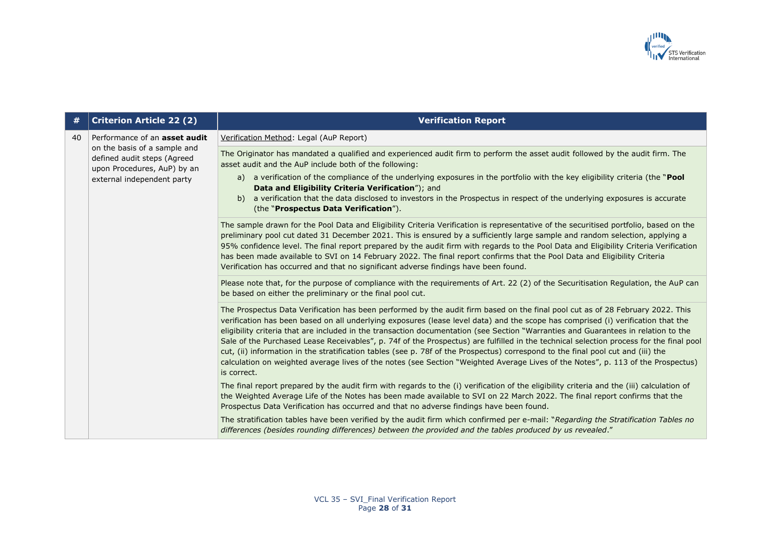

| #  | <b>Criterion Article 22 (2)</b>                                                                                                                           | <b>Verification Report</b>                                                                                                                                                                                                                                                                                                                                                                                                                                                                                                                                                                                                                                                                                                                                                                                                                 |
|----|-----------------------------------------------------------------------------------------------------------------------------------------------------------|--------------------------------------------------------------------------------------------------------------------------------------------------------------------------------------------------------------------------------------------------------------------------------------------------------------------------------------------------------------------------------------------------------------------------------------------------------------------------------------------------------------------------------------------------------------------------------------------------------------------------------------------------------------------------------------------------------------------------------------------------------------------------------------------------------------------------------------------|
| 40 | Performance of an asset audit<br>on the basis of a sample and<br>defined audit steps (Agreed<br>upon Procedures, AuP) by an<br>external independent party | Verification Method: Legal (AuP Report)                                                                                                                                                                                                                                                                                                                                                                                                                                                                                                                                                                                                                                                                                                                                                                                                    |
|    |                                                                                                                                                           | The Originator has mandated a qualified and experienced audit firm to perform the asset audit followed by the audit firm. The<br>asset audit and the AuP include both of the following:                                                                                                                                                                                                                                                                                                                                                                                                                                                                                                                                                                                                                                                    |
|    |                                                                                                                                                           | a) a verification of the compliance of the underlying exposures in the portfolio with the key eligibility criteria (the "Pool<br>Data and Eligibility Criteria Verification"); and                                                                                                                                                                                                                                                                                                                                                                                                                                                                                                                                                                                                                                                         |
|    |                                                                                                                                                           | a verification that the data disclosed to investors in the Prospectus in respect of the underlying exposures is accurate<br>b)<br>(the "Prospectus Data Verification").                                                                                                                                                                                                                                                                                                                                                                                                                                                                                                                                                                                                                                                                    |
|    |                                                                                                                                                           | The sample drawn for the Pool Data and Eligibility Criteria Verification is representative of the securitised portfolio, based on the<br>preliminary pool cut dated 31 December 2021. This is ensured by a sufficiently large sample and random selection, applying a<br>95% confidence level. The final report prepared by the audit firm with regards to the Pool Data and Eligibility Criteria Verification<br>has been made available to SVI on 14 February 2022. The final report confirms that the Pool Data and Eligibility Criteria<br>Verification has occurred and that no significant adverse findings have been found.                                                                                                                                                                                                         |
|    |                                                                                                                                                           | Please note that, for the purpose of compliance with the requirements of Art. 22 (2) of the Securitisation Regulation, the AuP can<br>be based on either the preliminary or the final pool cut.                                                                                                                                                                                                                                                                                                                                                                                                                                                                                                                                                                                                                                            |
|    |                                                                                                                                                           | The Prospectus Data Verification has been performed by the audit firm based on the final pool cut as of 28 February 2022. This<br>verification has been based on all underlying exposures (lease level data) and the scope has comprised (i) verification that the<br>eligibility criteria that are included in the transaction documentation (see Section "Warranties and Guarantees in relation to the<br>Sale of the Purchased Lease Receivables", p. 74f of the Prospectus) are fulfilled in the technical selection process for the final pool<br>cut, (ii) information in the stratification tables (see p. 78f of the Prospectus) correspond to the final pool cut and (iii) the<br>calculation on weighted average lives of the notes (see Section "Weighted Average Lives of the Notes", p. 113 of the Prospectus)<br>is correct. |
|    |                                                                                                                                                           | The final report prepared by the audit firm with regards to the (i) verification of the eligibility criteria and the (iii) calculation of<br>the Weighted Average Life of the Notes has been made available to SVI on 22 March 2022. The final report confirms that the<br>Prospectus Data Verification has occurred and that no adverse findings have been found.                                                                                                                                                                                                                                                                                                                                                                                                                                                                         |
|    |                                                                                                                                                           | The stratification tables have been verified by the audit firm which confirmed per e-mail: "Regarding the Stratification Tables no<br>differences (besides rounding differences) between the provided and the tables produced by us revealed."                                                                                                                                                                                                                                                                                                                                                                                                                                                                                                                                                                                             |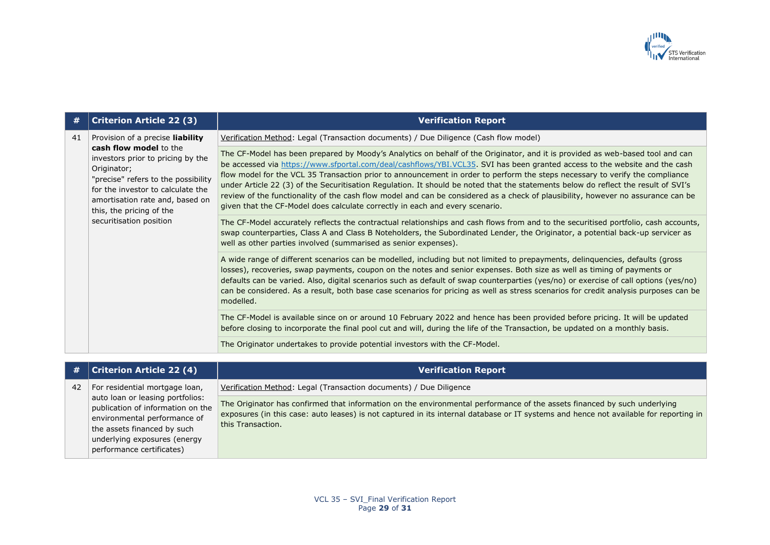

| #  | <b>Criterion Article 22 (3)</b>                                                                                                                                                                                                                                                             | <b>Verification Report</b>                                                                                                                                                                                                                                                                                                                                                                                                                                                                                                                                                                                                                                                                                                                            |
|----|---------------------------------------------------------------------------------------------------------------------------------------------------------------------------------------------------------------------------------------------------------------------------------------------|-------------------------------------------------------------------------------------------------------------------------------------------------------------------------------------------------------------------------------------------------------------------------------------------------------------------------------------------------------------------------------------------------------------------------------------------------------------------------------------------------------------------------------------------------------------------------------------------------------------------------------------------------------------------------------------------------------------------------------------------------------|
| 41 | Provision of a precise <b>liability</b><br>cash flow model to the<br>investors prior to pricing by the<br>Originator;<br>"precise" refers to the possibility<br>for the investor to calculate the<br>amortisation rate and, based on<br>this, the pricing of the<br>securitisation position | Verification Method: Legal (Transaction documents) / Due Diligence (Cash flow model)                                                                                                                                                                                                                                                                                                                                                                                                                                                                                                                                                                                                                                                                  |
|    |                                                                                                                                                                                                                                                                                             | The CF-Model has been prepared by Moody's Analytics on behalf of the Originator, and it is provided as web-based tool and can<br>be accessed via https://www.sfportal.com/deal/cashflows/YBI.VCL35. SVI has been granted access to the website and the cash<br>flow model for the VCL 35 Transaction prior to announcement in order to perform the steps necessary to verify the compliance<br>under Article 22 (3) of the Securitisation Regulation. It should be noted that the statements below do reflect the result of SVI's<br>review of the functionality of the cash flow model and can be considered as a check of plausibility, however no assurance can be<br>given that the CF-Model does calculate correctly in each and every scenario. |
|    |                                                                                                                                                                                                                                                                                             | The CF-Model accurately reflects the contractual relationships and cash flows from and to the securitised portfolio, cash accounts,<br>swap counterparties, Class A and Class B Noteholders, the Subordinated Lender, the Originator, a potential back-up servicer as<br>well as other parties involved (summarised as senior expenses).                                                                                                                                                                                                                                                                                                                                                                                                              |
|    |                                                                                                                                                                                                                                                                                             | A wide range of different scenarios can be modelled, including but not limited to prepayments, delinquencies, defaults (gross<br>losses), recoveries, swap payments, coupon on the notes and senior expenses. Both size as well as timing of payments or<br>defaults can be varied. Also, digital scenarios such as default of swap counterparties (yes/no) or exercise of call options (yes/no)<br>can be considered. As a result, both base case scenarios for pricing as well as stress scenarios for credit analysis purposes can be<br>modelled.                                                                                                                                                                                                 |
|    |                                                                                                                                                                                                                                                                                             | The CF-Model is available since on or around 10 February 2022 and hence has been provided before pricing. It will be updated<br>before closing to incorporate the final pool cut and will, during the life of the Transaction, be updated on a monthly basis.                                                                                                                                                                                                                                                                                                                                                                                                                                                                                         |
|    |                                                                                                                                                                                                                                                                                             | The Originator undertakes to provide potential investors with the CF-Model.                                                                                                                                                                                                                                                                                                                                                                                                                                                                                                                                                                                                                                                                           |

| <b>#</b> 1 | <b>Criterion Article 22 (4)</b>                                                                                                                                                                   | <b>Verification Report</b>                                                                                                                                                                                                                                                             |
|------------|---------------------------------------------------------------------------------------------------------------------------------------------------------------------------------------------------|----------------------------------------------------------------------------------------------------------------------------------------------------------------------------------------------------------------------------------------------------------------------------------------|
| 42         | For residential mortgage loan,                                                                                                                                                                    | Verification Method: Legal (Transaction documents) / Due Diligence                                                                                                                                                                                                                     |
|            | auto loan or leasing portfolios:<br>publication of information on the<br>environmental performance of<br>the assets financed by such<br>underlying exposures (energy<br>performance certificates) | The Originator has confirmed that information on the environmental performance of the assets financed by such underlying<br>exposures (in this case: auto leases) is not captured in its internal database or IT systems and hence not available for reporting in<br>this Transaction. |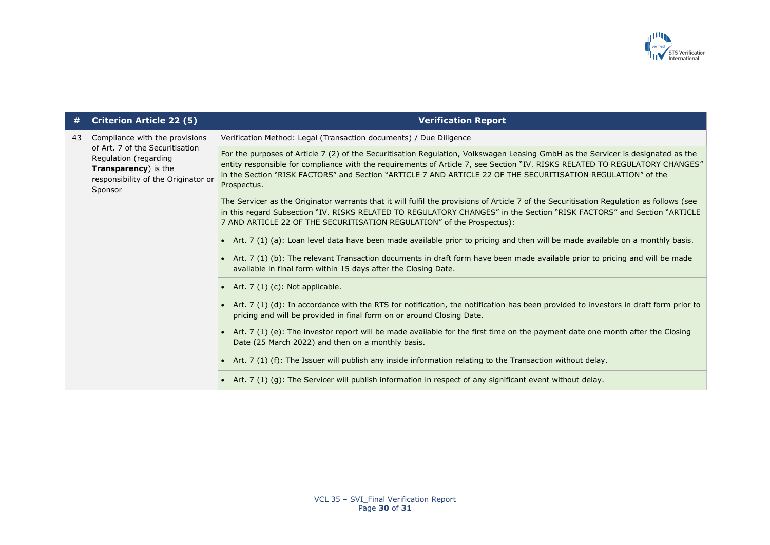

| #  | <b>Criterion Article 22 (5)</b>                                                                                                                                      | <b>Verification Report</b>                                                                                                                                                                                                                                                                                                                                                                     |
|----|----------------------------------------------------------------------------------------------------------------------------------------------------------------------|------------------------------------------------------------------------------------------------------------------------------------------------------------------------------------------------------------------------------------------------------------------------------------------------------------------------------------------------------------------------------------------------|
| 43 | Compliance with the provisions<br>of Art. 7 of the Securitisation<br>Regulation (regarding<br>Transparency) is the<br>responsibility of the Originator or<br>Sponsor | Verification Method: Legal (Transaction documents) / Due Diligence                                                                                                                                                                                                                                                                                                                             |
|    |                                                                                                                                                                      | For the purposes of Article 7 (2) of the Securitisation Regulation, Volkswagen Leasing GmbH as the Servicer is designated as the<br>entity responsible for compliance with the requirements of Article 7, see Section "IV. RISKS RELATED TO REGULATORY CHANGES"<br>in the Section "RISK FACTORS" and Section "ARTICLE 7 AND ARTICLE 22 OF THE SECURITISATION REGULATION" of the<br>Prospectus. |
|    |                                                                                                                                                                      | The Servicer as the Originator warrants that it will fulfil the provisions of Article 7 of the Securitisation Regulation as follows (see<br>in this regard Subsection "IV. RISKS RELATED TO REGULATORY CHANGES" in the Section "RISK FACTORS" and Section "ARTICLE<br>7 AND ARTICLE 22 OF THE SECURITISATION REGULATION" of the Prospectus):                                                   |
|    |                                                                                                                                                                      | • Art. 7 (1) (a): Loan level data have been made available prior to pricing and then will be made available on a monthly basis.                                                                                                                                                                                                                                                                |
|    |                                                                                                                                                                      | • Art. 7 (1) (b): The relevant Transaction documents in draft form have been made available prior to pricing and will be made<br>available in final form within 15 days after the Closing Date.                                                                                                                                                                                                |
|    |                                                                                                                                                                      | • Art. $7(1)(c)$ : Not applicable.                                                                                                                                                                                                                                                                                                                                                             |
|    |                                                                                                                                                                      | • Art. 7 (1) (d): In accordance with the RTS for notification, the notification has been provided to investors in draft form prior to<br>pricing and will be provided in final form on or around Closing Date.                                                                                                                                                                                 |
|    |                                                                                                                                                                      | • Art. 7 (1) (e): The investor report will be made available for the first time on the payment date one month after the Closing<br>Date (25 March 2022) and then on a monthly basis.                                                                                                                                                                                                           |
|    |                                                                                                                                                                      | • Art. 7 (1) (f): The Issuer will publish any inside information relating to the Transaction without delay.                                                                                                                                                                                                                                                                                    |
|    |                                                                                                                                                                      | • Art. 7 (1) (g): The Servicer will publish information in respect of any significant event without delay.                                                                                                                                                                                                                                                                                     |